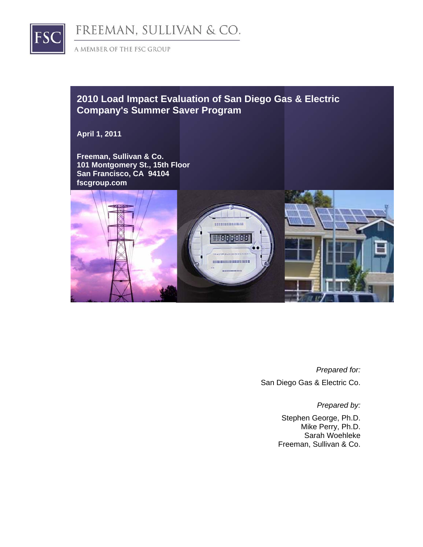

FREEMAN, SULLIVAN & CO.

A MEMBER OF THE FSC GROUP

## **2010 Load Impact Evaluation of San Diego Gas & Electric Company's Summer Saver Program**

**April 1, 2011** 

**Freeman, Sullivan & Co. 101 Montgomery St., 15th Floor San Francisco, CA 94104 fscgroup.com** 



*Prepared for:*  San Diego Gas & Electric Co.

*Prepared by:* 

Stephen George, Ph.D. Mike Perry, Ph.D. Sarah Woehleke Freeman, Sullivan & Co.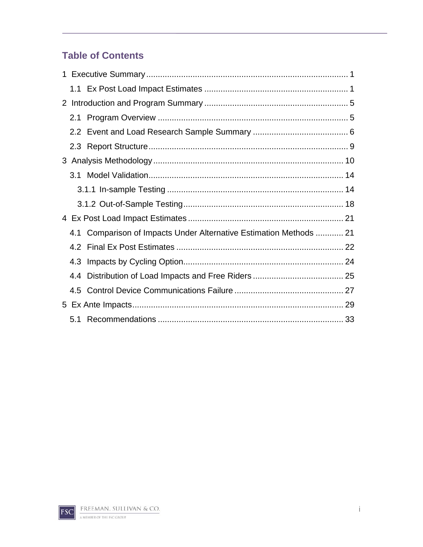# **Table of Contents**

|     | 4.1 Comparison of Impacts Under Alternative Estimation Methods  21 |  |
|-----|--------------------------------------------------------------------|--|
|     |                                                                    |  |
| 4.3 |                                                                    |  |
| 4.4 |                                                                    |  |
|     |                                                                    |  |
|     |                                                                    |  |
|     |                                                                    |  |

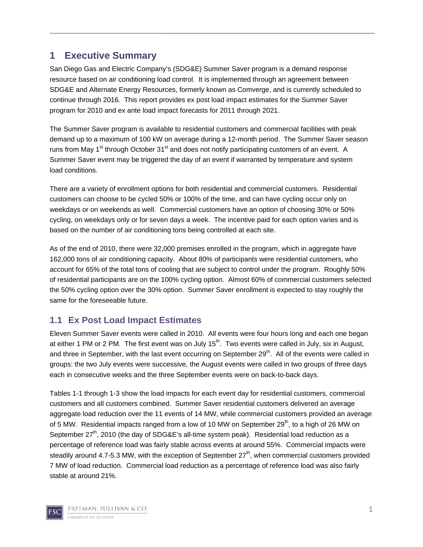### **1 Executive Summary**

San Diego Gas and Electric Company's (SDG&E) Summer Saver program is a demand response resource based on air conditioning load control. It is implemented through an agreement between SDG&E and Alternate Energy Resources, formerly known as Comverge, and is currently scheduled to continue through 2016. This report provides ex post load impact estimates for the Summer Saver program for 2010 and ex ante load impact forecasts for 2011 through 2021.

The Summer Saver program is available to residential customers and commercial facilities with peak demand up to a maximum of 100 kW on average during a 12-month period. The Summer Saver season runs from May 1<sup>st</sup> through October 31<sup>st</sup> and does not notify participating customers of an event. A Summer Saver event may be triggered the day of an event if warranted by temperature and system load conditions.

There are a variety of enrollment options for both residential and commercial customers. Residential customers can choose to be cycled 50% or 100% of the time, and can have cycling occur only on weekdays or on weekends as well. Commercial customers have an option of choosing 30% or 50% cycling, on weekdays only or for seven days a week. The incentive paid for each option varies and is based on the number of air conditioning tons being controlled at each site.

As of the end of 2010, there were 32,000 premises enrolled in the program, which in aggregate have 162,000 tons of air conditioning capacity. About 80% of participants were residential customers, who account for 65% of the total tons of cooling that are subject to control under the program. Roughly 50% of residential participants are on the 100% cycling option. Almost 60% of commercial customers selected the 50% cycling option over the 30% option. Summer Saver enrollment is expected to stay roughly the same for the foreseeable future.

### **1.1 Ex Post Load Impact Estimates**

Eleven Summer Saver events were called in 2010. All events were four hours long and each one began at either 1 PM or 2 PM. The first event was on July  $15<sup>th</sup>$ . Two events were called in July, six in August, and three in September, with the last event occurring on September 29<sup>th</sup>. All of the events were called in groups: the two July events were successive, the August events were called in two groups of three days each in consecutive weeks and the three September events were on back-to-back days.

Tables 1-1 through 1-3 show the load impacts for each event day for residential customers, commercial customers and all customers combined. Summer Saver residential customers delivered an average aggregate load reduction over the 11 events of 14 MW, while commercial customers provided an average of 5 MW. Residential impacts ranged from a low of 10 MW on September  $29<sup>th</sup>$ , to a high of 26 MW on September 27<sup>th</sup>, 2010 (the day of SDG&E's all-time system peak). Residential load reduction as a percentage of reference load was fairly stable across events at around 55%. Commercial impacts were steadily around 4.7-5.3 MW, with the exception of September  $27<sup>th</sup>$ , when commercial customers provided 7 MW of load reduction. Commercial load reduction as a percentage of reference load was also fairly stable at around 21%.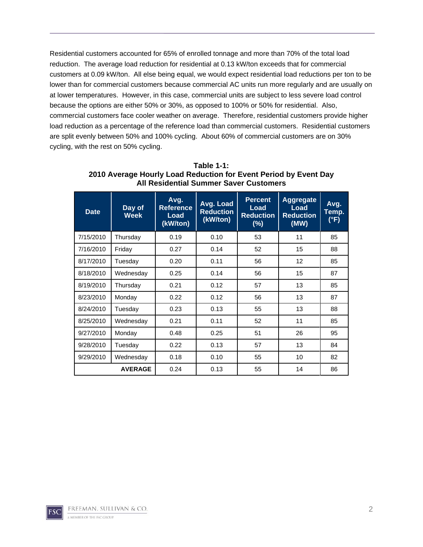Residential customers accounted for 65% of enrolled tonnage and more than 70% of the total load reduction. The average load reduction for residential at 0.13 kW/ton exceeds that for commercial customers at 0.09 kW/ton. All else being equal, we would expect residential load reductions per ton to be lower than for commercial customers because commercial AC units run more regularly and are usually on at lower temperatures. However, in this case, commercial units are subject to less severe load control because the options are either 50% or 30%, as opposed to 100% or 50% for residential. Also, commercial customers face cooler weather on average. Therefore, residential customers provide higher load reduction as a percentage of the reference load than commercial customers. Residential customers are split evenly between 50% and 100% cycling. About 60% of commercial customers are on 30% cycling, with the rest on 50% cycling.

| <b>Date</b> | Day of<br><b>Week</b> | Avg.<br><b>Reference</b><br>Load<br>(kW/ton) | Avg. Load<br><b>Reduction</b><br>(kW/ton) | <b>Percent</b><br>Load<br><b>Reduction</b><br>$(\%)$ | <b>Aggregate</b><br>Load<br><b>Reduction</b><br>(MW) | Avg.<br>Temp.<br>(°F) |
|-------------|-----------------------|----------------------------------------------|-------------------------------------------|------------------------------------------------------|------------------------------------------------------|-----------------------|
| 7/15/2010   | Thursday              | 0.19                                         | 0.10                                      | 53                                                   | 11                                                   | 85                    |
| 7/16/2010   | Friday                | 0.27                                         | 0.14                                      | 52                                                   | 15                                                   | 88                    |
| 8/17/2010   | Tuesday               | 0.20                                         | 0.11                                      | 56                                                   | 12                                                   | 85                    |
| 8/18/2010   | Wednesday             | 0.25                                         | 0.14                                      | 56                                                   | 15                                                   | 87                    |
| 8/19/2010   | Thursday              | 0.21                                         | 0.12                                      | 57                                                   | 13                                                   | 85                    |
| 8/23/2010   | Monday                | 0.22                                         | 0.12                                      | 56                                                   | 13                                                   | 87                    |
| 8/24/2010   | Tuesday               | 0.23                                         | 0.13                                      | 55                                                   | 13                                                   | 88                    |
| 8/25/2010   | Wednesday             | 0.21                                         | 0.11                                      | 52                                                   | 11                                                   | 85                    |
| 9/27/2010   | Monday                | 0.48                                         | 0.25                                      | 51                                                   | 26                                                   | 95                    |
| 9/28/2010   | Tuesday               | 0.22                                         | 0.13                                      | 57                                                   | 13                                                   | 84                    |
| 9/29/2010   | Wednesday             | 0.18                                         | 0.10                                      | 55                                                   | 10                                                   | 82                    |
|             | <b>AVERAGE</b>        | 0.24                                         | 0.13                                      | 55                                                   | 14                                                   | 86                    |

**Table 1-1: 2010 Average Hourly Load Reduction for Event Period by Event Day All Residential Summer Saver Customers**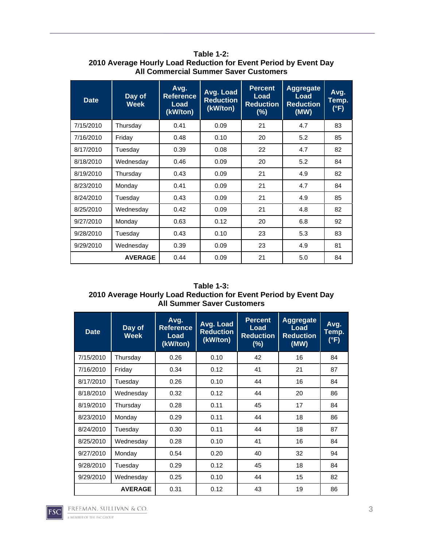| <b>Date</b> | Day of<br><b>Week</b> | Avg.<br><b>Reference</b><br>Load<br>(kW/ton) | Avg. Load<br><b>Reduction</b><br>(kW/ton) | <b>Percent</b><br><b>Load</b><br><b>Reduction</b><br>$(\%)$ | <b>Aggregate</b><br>Load<br><b>Reduction</b><br>(MW) | Avg.<br>Temp.<br>$(^{\circ}F)$ |
|-------------|-----------------------|----------------------------------------------|-------------------------------------------|-------------------------------------------------------------|------------------------------------------------------|--------------------------------|
| 7/15/2010   | Thursday              | 0.41                                         | 0.09                                      | 21                                                          | 4.7                                                  | 83                             |
| 7/16/2010   | Friday                | 0.48                                         | 0.10                                      | 20                                                          | 5.2                                                  | 85                             |
| 8/17/2010   | Tuesday               | 0.39                                         | 0.08                                      | 22                                                          | 4.7                                                  | 82                             |
| 8/18/2010   | Wednesday             | 0.46                                         | 0.09                                      | 20                                                          | 5.2                                                  | 84                             |
| 8/19/2010   | Thursday              | 0.43                                         | 0.09                                      | 21                                                          | 4.9                                                  | 82                             |
| 8/23/2010   | Monday                | 0.41                                         | 0.09                                      | 21                                                          | 4.7                                                  | 84                             |
| 8/24/2010   | Tuesday               | 0.43                                         | 0.09                                      | 21                                                          | 4.9                                                  | 85                             |
| 8/25/2010   | Wednesday             | 0.42                                         | 0.09                                      | 21                                                          | 4.8                                                  | 82                             |
| 9/27/2010   | Monday                | 0.63                                         | 0.12                                      | 20                                                          | 6.8                                                  | 92                             |
| 9/28/2010   | Tuesday               | 0.43                                         | 0.10                                      | 23                                                          | 5.3                                                  | 83                             |
| 9/29/2010   | Wednesday             | 0.39                                         | 0.09                                      | 23                                                          | 4.9                                                  | 81                             |
|             | <b>AVERAGE</b>        | 0.44                                         | 0.09                                      | 21                                                          | 5.0                                                  | 84                             |

**Table 1-2: 2010 Average Hourly Load Reduction for Event Period by Event Day All Commercial Summer Saver Customers** 

#### **Table 1-3: 2010 Average Hourly Load Reduction for Event Period by Event Day All Summer Saver Customers**

| <b>Date</b> | Day of<br><b>Week</b> | Avg.<br><b>Reference</b><br>Load<br>(kW/ton) | Avg. Load<br><b>Reduction</b><br>(kW/ton) | <b>Percent</b><br>Load<br><b>Reduction</b><br>$(\%)$ | <b>Aggregate</b><br>Load<br><b>Reduction</b><br>(MW) | Avg.<br>Temp.<br>(°F) |
|-------------|-----------------------|----------------------------------------------|-------------------------------------------|------------------------------------------------------|------------------------------------------------------|-----------------------|
| 7/15/2010   | Thursday              | 0.26                                         | 0.10                                      | 42                                                   | 16                                                   | 84                    |
| 7/16/2010   | Friday                | 0.34                                         | 0.12                                      | 41                                                   | 21                                                   | 87                    |
| 8/17/2010   | Tuesdav               | 0.26                                         | 0.10                                      | 44                                                   | 16                                                   | 84                    |
| 8/18/2010   | Wednesday             | 0.32                                         | 0.12                                      | 44                                                   | 20                                                   | 86                    |
| 8/19/2010   | Thursday              | 0.28                                         | 0.11                                      | 45                                                   | 17                                                   | 84                    |
| 8/23/2010   | Monday                | 0.29                                         | 0.11                                      | 44                                                   | 18                                                   | 86                    |
| 8/24/2010   | Tuesday               | 0.30                                         | 0.11                                      | 44                                                   | 18                                                   | 87                    |
| 8/25/2010   | Wednesday             | 0.28                                         | 0.10                                      | 41                                                   | 16                                                   | 84                    |
| 9/27/2010   | Monday                | 0.54                                         | 0.20                                      | 40                                                   | 32                                                   | 94                    |
| 9/28/2010   | Tuesday               | 0.29                                         | 0.12                                      | 45                                                   | 18                                                   | 84                    |
| 9/29/2010   | Wednesday             | 0.25                                         | 0.10                                      | 44                                                   | 15                                                   | 82                    |
|             | <b>AVERAGE</b>        | 0.31                                         | 0.12                                      | 43                                                   | 19                                                   | 86                    |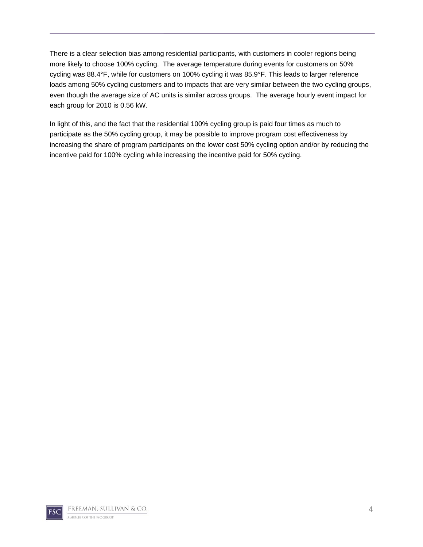There is a clear selection bias among residential participants, with customers in cooler regions being more likely to choose 100% cycling. The average temperature during events for customers on 50% cycling was 88.4°F, while for customers on 100% cycling it was 85.9°F. This leads to larger reference loads among 50% cycling customers and to impacts that are very similar between the two cycling groups, even though the average size of AC units is similar across groups. The average hourly event impact for each group for 2010 is 0.56 kW.

In light of this, and the fact that the residential 100% cycling group is paid four times as much to participate as the 50% cycling group, it may be possible to improve program cost effectiveness by increasing the share of program participants on the lower cost 50% cycling option and/or by reducing the incentive paid for 100% cycling while increasing the incentive paid for 50% cycling.

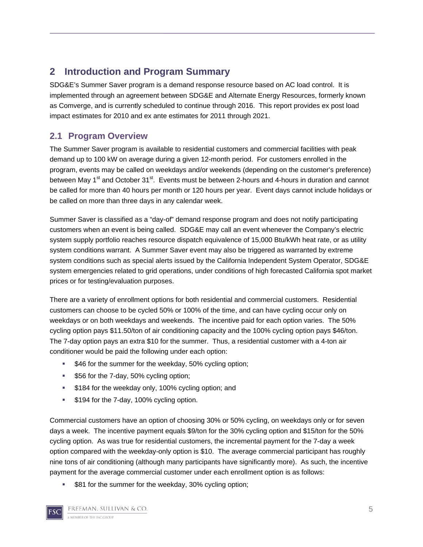## **2 Introduction and Program Summary**

SDG&E's Summer Saver program is a demand response resource based on AC load control. It is implemented through an agreement between SDG&E and Alternate Energy Resources, formerly known as Comverge, and is currently scheduled to continue through 2016. This report provides ex post load impact estimates for 2010 and ex ante estimates for 2011 through 2021.

### **2.1 Program Overview**

The Summer Saver program is available to residential customers and commercial facilities with peak demand up to 100 kW on average during a given 12-month period. For customers enrolled in the program, events may be called on weekdays and/or weekends (depending on the customer's preference) between May 1<sup>st</sup> and October 31<sup>st</sup>. Events must be between 2-hours and 4-hours in duration and cannot be called for more than 40 hours per month or 120 hours per year. Event days cannot include holidays or be called on more than three days in any calendar week.

Summer Saver is classified as a "day-of" demand response program and does not notify participating customers when an event is being called. SDG&E may call an event whenever the Company's electric system supply portfolio reaches resource dispatch equivalence of 15,000 Btu/kWh heat rate, or as utility system conditions warrant. A Summer Saver event may also be triggered as warranted by extreme system conditions such as special alerts issued by the California Independent System Operator, SDG&E system emergencies related to grid operations, under conditions of high forecasted California spot market prices or for testing/evaluation purposes.

There are a variety of enrollment options for both residential and commercial customers. Residential customers can choose to be cycled 50% or 100% of the time, and can have cycling occur only on weekdays or on both weekdays and weekends. The incentive paid for each option varies. The 50% cycling option pays \$11.50/ton of air conditioning capacity and the 100% cycling option pays \$46/ton. The 7-day option pays an extra \$10 for the summer. Thus, a residential customer with a 4-ton air conditioner would be paid the following under each option:

- \$46 for the summer for the weekday, 50% cycling option;
- **\$56 for the 7-day, 50% cycling option;**
- **\$184 for the weekday only, 100% cycling option; and**
- **\$194 for the 7-day, 100% cycling option.**

Commercial customers have an option of choosing 30% or 50% cycling, on weekdays only or for seven days a week. The incentive payment equals \$9/ton for the 30% cycling option and \$15/ton for the 50% cycling option. As was true for residential customers, the incremental payment for the 7-day a week option compared with the weekday-only option is \$10. The average commercial participant has roughly nine tons of air conditioning (although many participants have significantly more). As such, the incentive payment for the average commercial customer under each enrollment option is as follows:

\$81 for the summer for the weekday, 30% cycling option;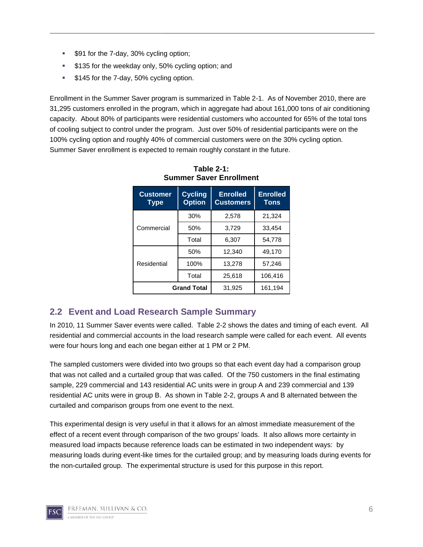- **\$91 for the 7-day, 30% cycling option;**
- **\$135 for the weekday only, 50% cycling option; and**
- **\$145 for the 7-day, 50% cycling option.**

Enrollment in the Summer Saver program is summarized in Table 2-1. As of November 2010, there are 31,295 customers enrolled in the program, which in aggregate had about 161,000 tons of air conditioning capacity. About 80% of participants were residential customers who accounted for 65% of the total tons of cooling subject to control under the program. Just over 50% of residential participants were on the 100% cycling option and roughly 40% of commercial customers were on the 30% cycling option. Summer Saver enrollment is expected to remain roughly constant in the future.

| <b>Customer</b><br>Type | <b>Cycling</b><br><b>Option</b> | <b>Enrolled</b><br><b>Customers</b> | <b>Enrolled</b><br><b>Tons</b> |
|-------------------------|---------------------------------|-------------------------------------|--------------------------------|
|                         | 30%                             | 2,578                               | 21,324                         |
| Commercial              | 50%                             | 3,729                               | 33,454                         |
|                         | Total                           | 6,307                               | 54,778                         |
|                         | 50%                             | 12,340                              | 49,170                         |
| Residential             | 100%                            | 13,278                              | 57.246                         |
|                         | Total                           | 25.618                              | 106,416                        |
|                         | <b>Grand Total</b>              | 31,925                              | 161,194                        |

**Table 2-1: Summer Saver Enrollment** 

### **2.2 Event and Load Research Sample Summary**

In 2010, 11 Summer Saver events were called. Table 2-2 shows the dates and timing of each event. All residential and commercial accounts in the load research sample were called for each event. All events were four hours long and each one began either at 1 PM or 2 PM.

The sampled customers were divided into two groups so that each event day had a comparison group that was not called and a curtailed group that was called. Of the 750 customers in the final estimating sample, 229 commercial and 143 residential AC units were in group A and 239 commercial and 139 residential AC units were in group B. As shown in Table 2-2, groups A and B alternated between the curtailed and comparison groups from one event to the next.

This experimental design is very useful in that it allows for an almost immediate measurement of the effect of a recent event through comparison of the two groups' loads. It also allows more certainty in measured load impacts because reference loads can be estimated in two independent ways: by measuring loads during event-like times for the curtailed group; and by measuring loads during events for the non-curtailed group. The experimental structure is used for this purpose in this report.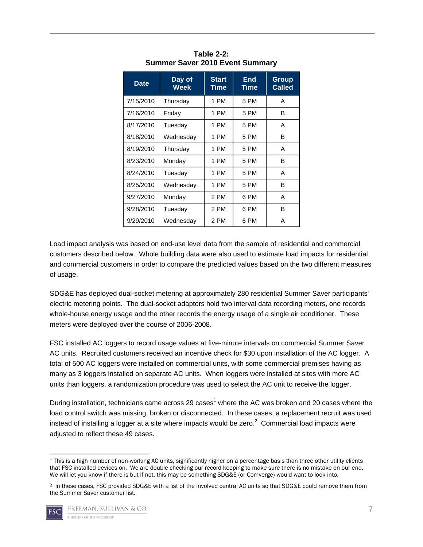| <b>Date</b> | Day of<br><b>Week</b> | <b>Start</b><br>Time | End<br><b>Time</b> | Group<br><b>Called</b> |
|-------------|-----------------------|----------------------|--------------------|------------------------|
| 7/15/2010   | Thursday              | 1 PM                 | 5 PM               | А                      |
| 7/16/2010   | Friday                | 1 PM                 | 5 PM               | В                      |
| 8/17/2010   | Tuesday               | 1 PM                 | 5 PM               | A                      |
| 8/18/2010   | Wednesdav             | 1 PM                 | 5 PM               | в                      |
| 8/19/2010   | Thursday              | 1 PM                 | 5 PM               | A                      |
| 8/23/2010   | Monday                | 1 PM                 | 5 PM               | B                      |
| 8/24/2010   | Tuesdav               | 1 PM                 | 5 PM               | A                      |
| 8/25/2010   | Wednesday             | 1 PM                 | 5 PM               | B                      |
| 9/27/2010   | Monday                | 2 PM                 | 6 PM               | A                      |
| 9/28/2010   | Tuesdav               | 2 PM                 | 6 PM               | в                      |
| 9/29/2010   | Wednesday             | 2 PM                 | 6 PM               | А                      |

**Table 2-2: Summer Saver 2010 Event Summary** 

Load impact analysis was based on end-use level data from the sample of residential and commercial customers described below. Whole building data were also used to estimate load impacts for residential and commercial customers in order to compare the predicted values based on the two different measures of usage.

SDG&E has deployed dual-socket metering at approximately 280 residential Summer Saver participants' electric metering points. The dual-socket adaptors hold two interval data recording meters, one records whole-house energy usage and the other records the energy usage of a single air conditioner. These meters were deployed over the course of 2006-2008.

FSC installed AC loggers to record usage values at five-minute intervals on commercial Summer Saver AC units. Recruited customers received an incentive check for \$30 upon installation of the AC logger. A total of 500 AC loggers were installed on commercial units, with some commercial premises having as many as 3 loggers installed on separate AC units. When loggers were installed at sites with more AC units than loggers, a randomization procedure was used to select the AC unit to receive the logger.

During installation, technicians came across 29 cases<sup>1</sup> where the AC was broken and 20 cases where the load control switch was missing, broken or disconnected. In these cases, a replacement recruit was used instead of installing a logger at a site where impacts would be zero. $^2$  Commercial load impacts were adjusted to reflect these 49 cases.

<sup>2</sup> In these cases, FSC provided SDG&E with a list of the involved central AC units so that SDG&E could remove them from the Summer Saver customer list.



<sup>1</sup> This is a high number of non-working AC units, significantly higher on a percentage basis than three other utility clients that FSC installed devices on. We are double checking our record keeping to make sure there is no mistake on our end. We will let you know if there is but if not, this may be something SDG&E (or Comverge) would want to look into.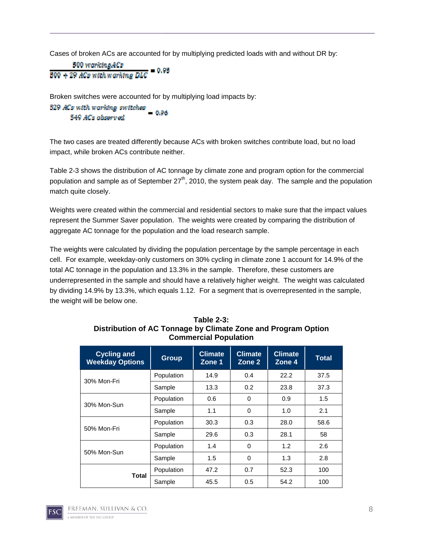Cases of broken ACs are accounted for by multiplying predicted loads with and without DR by:

500 warkinaACs - 0.95 500 + 29 ACs with warking DLC

Broken switches were accounted for by multiplying load impacts by:

529 ACs with warking switches  $-0.96$ 549 ACs abserved

The two cases are treated differently because ACs with broken switches contribute load, but no load impact, while broken ACs contribute neither.

Table 2-3 shows the distribution of AC tonnage by climate zone and program option for the commercial population and sample as of September  $27<sup>th</sup>$ , 2010, the system peak day. The sample and the population match quite closely.

Weights were created within the commercial and residential sectors to make sure that the impact values represent the Summer Saver population. The weights were created by comparing the distribution of aggregate AC tonnage for the population and the load research sample.

The weights were calculated by dividing the population percentage by the sample percentage in each cell. For example, weekday-only customers on 30% cycling in climate zone 1 account for 14.9% of the total AC tonnage in the population and 13.3% in the sample. Therefore, these customers are underrepresented in the sample and should have a relatively higher weight. The weight was calculated by dividing 14.9% by 13.3%, which equals 1.12. For a segment that is overrepresented in the sample, the weight will be below one.

| <b>Cycling and</b><br><b>Weekday Options</b> | <b>Group</b> | <b>Climate</b><br>Zone 1 | <b>Climate</b><br>Zone 2 | <b>Climate</b><br>Zone 4 | <b>Total</b> |
|----------------------------------------------|--------------|--------------------------|--------------------------|--------------------------|--------------|
| 30% Mon-Fri                                  | Population   | 14.9                     | 0.4                      | 22.2                     | 37.5         |
|                                              | Sample       | 13.3                     | 0.2                      | 23.8                     | 37.3         |
| 30% Mon-Sun                                  | Population   | 0.6                      | 0                        | 0.9                      | 1.5          |
|                                              | Sample       | 1.1                      | 0                        | 1.0                      | 2.1          |
| 50% Mon-Fri                                  | Population   | 30.3                     | 0.3                      | 28.0                     | 58.6         |
|                                              | Sample       | 29.6                     | 0.3                      | 28.1                     | 58           |
|                                              | Population   | 1.4                      | 0                        | 1.2                      | 2.6          |
| 50% Mon-Sun                                  | Sample       | 1.5                      | 0                        | 1.3                      | 2.8          |
|                                              | Population   | 47.2                     | 0.7                      | 52.3                     | 100          |
| <b>Total</b>                                 | Sample       | 45.5                     | 0.5                      | 54.2                     | 100          |

#### **Table 2-3: Distribution of AC Tonnage by Climate Zone and Program Option Commercial Population**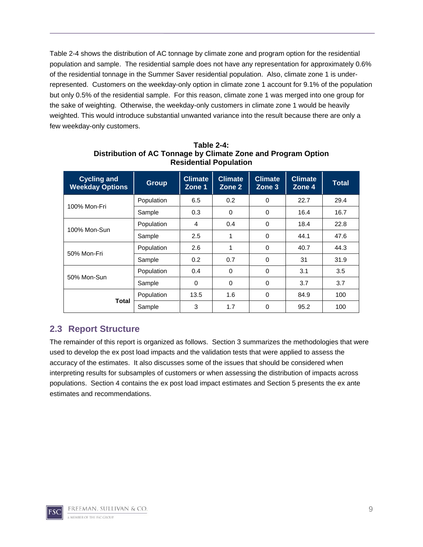Table 2-4 shows the distribution of AC tonnage by climate zone and program option for the residential population and sample. The residential sample does not have any representation for approximately 0.6% of the residential tonnage in the Summer Saver residential population. Also, climate zone 1 is underrepresented. Customers on the weekday-only option in climate zone 1 account for 9.1% of the population but only 0.5% of the residential sample. For this reason, climate zone 1 was merged into one group for the sake of weighting. Otherwise, the weekday-only customers in climate zone 1 would be heavily weighted. This would introduce substantial unwanted variance into the result because there are only a few weekday-only customers.

| <b>Cycling and</b><br><b>Weekday Options</b> | <b>Group</b> | <b>Climate</b><br>Zone 1 | <b>Climate</b><br>Zone 2 | <b>Climate</b><br>Zone 3 | <b>Climate</b><br>Zone 4 | <b>Total</b> |
|----------------------------------------------|--------------|--------------------------|--------------------------|--------------------------|--------------------------|--------------|
| 100% Mon-Fri                                 | Population   | 6.5                      | 0.2                      | $\Omega$                 | 22.7                     | 29.4         |
|                                              | Sample       | 0.3                      | 0                        | 0                        | 16.4                     | 16.7         |
| 100% Mon-Sun                                 | Population   | 4                        | 0.4                      | 0                        | 18.4                     | 22.8         |
|                                              | Sample       | 2.5                      | 1                        | $\Omega$                 | 44.1                     | 47.6         |
| 50% Mon-Fri                                  | Population   | 2.6                      | 1                        | $\Omega$                 | 40.7                     | 44.3         |
|                                              | Sample       | 0.2                      | 0.7                      | $\Omega$                 | 31                       | 31.9         |
| 50% Mon-Sun                                  | Population   | 0.4                      | $\mathbf 0$              | $\Omega$                 | 3.1                      | 3.5          |
|                                              | Sample       | $\Omega$                 | $\mathbf 0$              | $\Omega$                 | 3.7                      | 3.7          |
| Total                                        | Population   | 13.5                     | 1.6                      | $\Omega$                 | 84.9                     | 100          |
|                                              | Sample       | 3                        | 1.7                      | $\Omega$                 | 95.2                     | 100          |

**Table 2-4: Distribution of AC Tonnage by Climate Zone and Program Option Residential Population** 

### **2.3 Report Structure**

The remainder of this report is organized as follows. Section 3 summarizes the methodologies that were used to develop the ex post load impacts and the validation tests that were applied to assess the accuracy of the estimates. It also discusses some of the issues that should be considered when interpreting results for subsamples of customers or when assessing the distribution of impacts across populations. Section 4 contains the ex post load impact estimates and Section 5 presents the ex ante estimates and recommendations.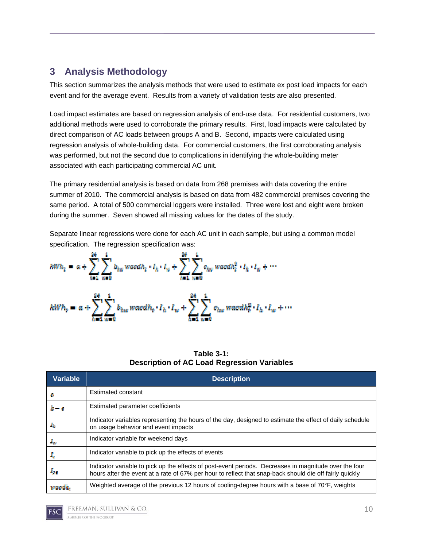## **3 Analysis Methodology**

This section summarizes the analysis methods that were used to estimate ex post load impacts for each event and for the average event. Results from a variety of validation tests are also presented.

Load impact estimates are based on regression analysis of end-use data. For residential customers, two additional methods were used to corroborate the primary results. First, load impacts were calculated by direct comparison of AC loads between groups A and B. Second, impacts were calculated using regression analysis of whole-building data. For commercial customers, the first corroborating analysis was performed, but not the second due to complications in identifying the whole-building meter associated with each participating commercial AC unit.

The primary residential analysis is based on data from 268 premises with data covering the entire summer of 2010. The commercial analysis is based on data from 482 commercial premises covering the same period. A total of 500 commercial loggers were installed. Three were lost and eight were broken during the summer. Seven showed all missing values for the dates of the study.

Separate linear regressions were done for each AC unit in each sample, but using a common model specification. The regression specification was:

$$
kWh_{p} = a + \sum_{h=1}^{24} \sum_{w=0}^{1} b_{hw} \, w \, a \, a h_{p} \cdot I_{h} \cdot I_{w} + \sum_{h=1}^{24} \sum_{w=0}^{1} o_{hw} \, w \, a \, a h_{p}^{2} \cdot I_{h} \cdot I_{w} + \cdots
$$
\n
$$
kWh_{p} = a + \sum_{h=1}^{24} \sum_{w=0}^{1} b_{hw} \, w \, a \, c \, dh_{p} \cdot I_{h} \cdot I_{w} + \sum_{h=1}^{24} \sum_{w=0}^{1} c_{hw} \, w \, a \, c \, dh_{p}^{2} \cdot I_{h} \cdot I_{w} + \cdots
$$

| Table $3-1$ :                                      |
|----------------------------------------------------|
| <b>Description of AC Load Regression Variables</b> |

| Variable | <b>Description</b>                                                                                                                                                                                               |
|----------|------------------------------------------------------------------------------------------------------------------------------------------------------------------------------------------------------------------|
| 4        | Estimated constant                                                                                                                                                                                               |
| $h - c$  | Estimated parameter coefficients                                                                                                                                                                                 |
| Лb       | Indicator variables representing the hours of the day, designed to estimate the effect of daily schedule<br>on usage behavior and event impacts                                                                  |
| $I_w$    | Indicator variable for weekend days                                                                                                                                                                              |
| x,       | Indicator variable to pick up the effects of events                                                                                                                                                              |
| Aзи      | Indicator variable to pick up the effects of post-event periods. Decreases in magnitude over the four<br>hours after the event at a rate of 67% per hour to reflect that snap-back should die off fairly quickly |
| vards.   | Weighted average of the previous 12 hours of cooling-degree hours with a base of $70^{\circ}$ F, weights                                                                                                         |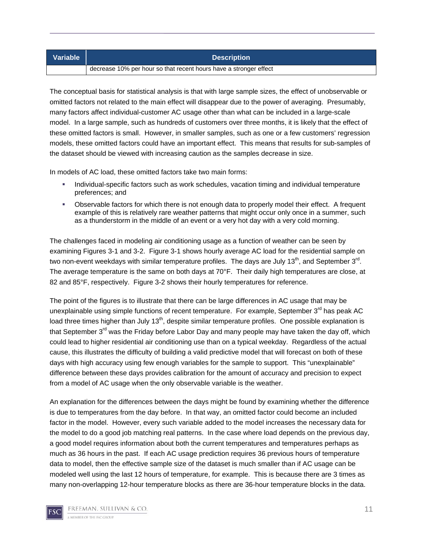| Variable | <b>Description</b>                                                |
|----------|-------------------------------------------------------------------|
|          | decrease 10% per hour so that recent hours have a stronger effect |

The conceptual basis for statistical analysis is that with large sample sizes, the effect of unobservable or omitted factors not related to the main effect will disappear due to the power of averaging. Presumably, many factors affect individual-customer AC usage other than what can be included in a large-scale model. In a large sample, such as hundreds of customers over three months, it is likely that the effect of these omitted factors is small. However, in smaller samples, such as one or a few customers' regression models, these omitted factors could have an important effect. This means that results for sub-samples of the dataset should be viewed with increasing caution as the samples decrease in size.

In models of AC load, these omitted factors take two main forms:

- Individual-specific factors such as work schedules, vacation timing and individual temperature preferences; and
- Observable factors for which there is not enough data to properly model their effect. A frequent example of this is relatively rare weather patterns that might occur only once in a summer, such as a thunderstorm in the middle of an event or a very hot day with a very cold morning.

The challenges faced in modeling air conditioning usage as a function of weather can be seen by examining Figures 3-1 and 3-2. Figure 3-1 shows hourly average AC load for the residential sample on two non-event weekdays with similar temperature profiles. The days are July 13<sup>th</sup>, and September 3<sup>rd</sup>. The average temperature is the same on both days at 70°F. Their daily high temperatures are close, at 82 and 85°F, respectively. Figure 3-2 shows their hourly temperatures for reference.

The point of the figures is to illustrate that there can be large differences in AC usage that may be unexplainable using simple functions of recent temperature. For example, September 3<sup>rd</sup> has peak AC load three times higher than July  $13<sup>th</sup>$ , despite similar temperature profiles. One possible explanation is that September  $3<sup>rd</sup>$  was the Friday before Labor Day and many people may have taken the day off, which could lead to higher residential air conditioning use than on a typical weekday. Regardless of the actual cause, this illustrates the difficulty of building a valid predictive model that will forecast on both of these days with high accuracy using few enough variables for the sample to support. This "unexplainable" difference between these days provides calibration for the amount of accuracy and precision to expect from a model of AC usage when the only observable variable is the weather.

An explanation for the differences between the days might be found by examining whether the difference is due to temperatures from the day before. In that way, an omitted factor could become an included factor in the model. However, every such variable added to the model increases the necessary data for the model to do a good job matching real patterns. In the case where load depends on the previous day, a good model requires information about both the current temperatures and temperatures perhaps as much as 36 hours in the past. If each AC usage prediction requires 36 previous hours of temperature data to model, then the effective sample size of the dataset is much smaller than if AC usage can be modeled well using the last 12 hours of temperature, for example. This is because there are 3 times as many non-overlapping 12-hour temperature blocks as there are 36-hour temperature blocks in the data.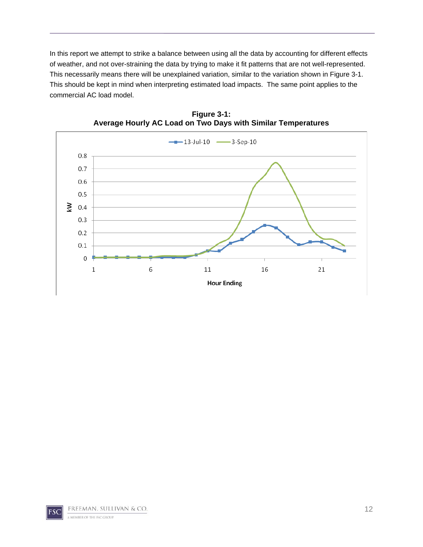In this report we attempt to strike a balance between using all the data by accounting for different effects of weather, and not over-straining the data by trying to make it fit patterns that are not well-represented. This necessarily means there will be unexplained variation, similar to the variation shown in Figure 3-1. This should be kept in mind when interpreting estimated load impacts. The same point applies to the commercial AC load model.



**Figure 3-1: Average Hourly AC Load on Two Days with Similar Temperatures** 

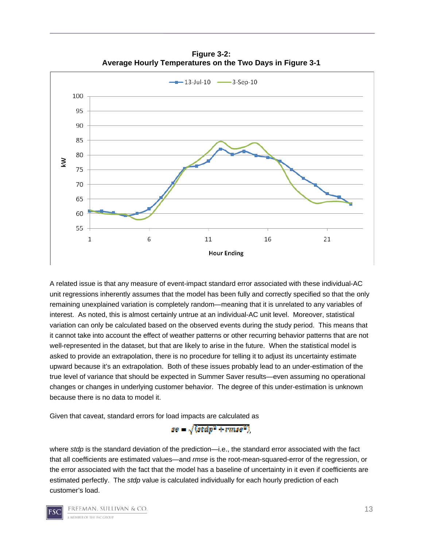

**Figure 3-2: Average Hourly Temperatures on the Two Days in Figure 3-1** 

A related issue is that any measure of event-impact standard error associated with these individual-AC unit regressions inherently assumes that the model has been fully and correctly specified so that the only remaining unexplained variation is completely random—meaning that it is unrelated to any variables of interest. As noted, this is almost certainly untrue at an individual-AC unit level. Moreover, statistical variation can only be calculated based on the observed events during the study period. This means that it cannot take into account the effect of weather patterns or other recurring behavior patterns that are not well-represented in the dataset, but that are likely to arise in the future. When the statistical model is asked to provide an extrapolation, there is no procedure for telling it to adjust its uncertainty estimate upward because it's an extrapolation. Both of these issues probably lead to an under-estimation of the true level of variance that should be expected in Summer Saver results—even assuming no operational changes or changes in underlying customer behavior. The degree of this under-estimation is unknown because there is no data to model it.

Given that caveat, standard errors for load impacts are calculated as

 $ge = \sqrt{(stdp^2 + rmse^2)}$ 

where *stdp* is the standard deviation of the prediction—i.e., the standard error associated with the fact that all coefficients are estimated values—and *rmse* is the root-mean-squared-error of the regression, or the error associated with the fact that the model has a baseline of uncertainty in it even if coefficients are estimated perfectly. The *stdp* value is calculated individually for each hourly prediction of each customer's load.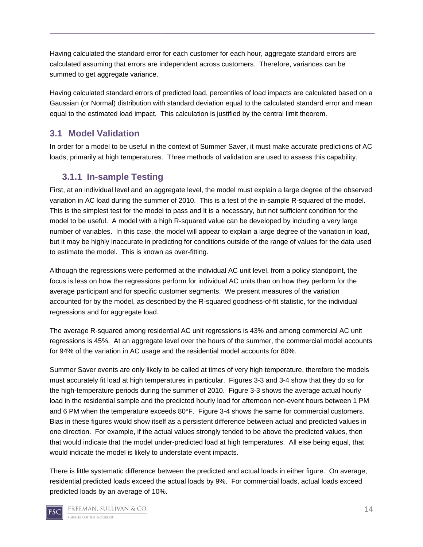Having calculated the standard error for each customer for each hour, aggregate standard errors are calculated assuming that errors are independent across customers. Therefore, variances can be summed to get aggregate variance.

Having calculated standard errors of predicted load, percentiles of load impacts are calculated based on a Gaussian (or Normal) distribution with standard deviation equal to the calculated standard error and mean equal to the estimated load impact. This calculation is justified by the central limit theorem.

## **3.1 Model Validation**

In order for a model to be useful in the context of Summer Saver, it must make accurate predictions of AC loads, primarily at high temperatures. Three methods of validation are used to assess this capability.

## **3.1.1 In-sample Testing**

First, at an individual level and an aggregate level, the model must explain a large degree of the observed variation in AC load during the summer of 2010. This is a test of the in-sample R-squared of the model. This is the simplest test for the model to pass and it is a necessary, but not sufficient condition for the model to be useful. A model with a high R-squared value can be developed by including a very large number of variables. In this case, the model will appear to explain a large degree of the variation in load, but it may be highly inaccurate in predicting for conditions outside of the range of values for the data used to estimate the model. This is known as over-fitting.

Although the regressions were performed at the individual AC unit level, from a policy standpoint, the focus is less on how the regressions perform for individual AC units than on how they perform for the average participant and for specific customer segments. We present measures of the variation accounted for by the model, as described by the R-squared goodness-of-fit statistic, for the individual regressions and for aggregate load.

The average R-squared among residential AC unit regressions is 43% and among commercial AC unit regressions is 45%. At an aggregate level over the hours of the summer, the commercial model accounts for 94% of the variation in AC usage and the residential model accounts for 80%.

Summer Saver events are only likely to be called at times of very high temperature, therefore the models must accurately fit load at high temperatures in particular. Figures 3-3 and 3-4 show that they do so for the high-temperature periods during the summer of 2010. Figure 3-3 shows the average actual hourly load in the residential sample and the predicted hourly load for afternoon non-event hours between 1 PM and 6 PM when the temperature exceeds 80°F. Figure 3-4 shows the same for commercial customers. Bias in these figures would show itself as a persistent difference between actual and predicted values in one direction. For example, if the actual values strongly tended to be above the predicted values, then that would indicate that the model under-predicted load at high temperatures. All else being equal, that would indicate the model is likely to understate event impacts.

There is little systematic difference between the predicted and actual loads in either figure. On average, residential predicted loads exceed the actual loads by 9%. For commercial loads, actual loads exceed predicted loads by an average of 10%.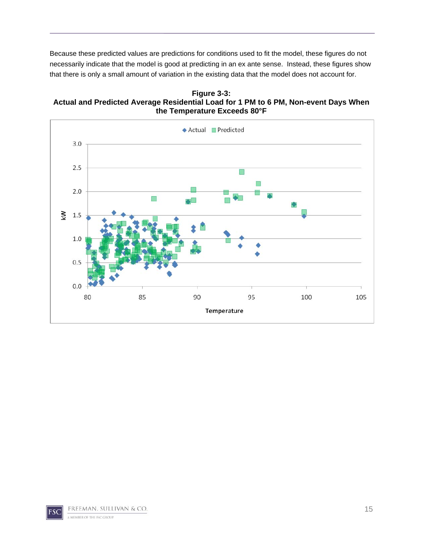Because these predicted values are predictions for conditions used to fit the model, these figures do not necessarily indicate that the model is good at predicting in an ex ante sense. Instead, these figures show that there is only a small amount of variation in the existing data that the model does not account for.

**Figure 3-3: Actual and Predicted Average Residential Load for 1 PM to 6 PM, Non-event Days When the Temperature Exceeds 80°F** 

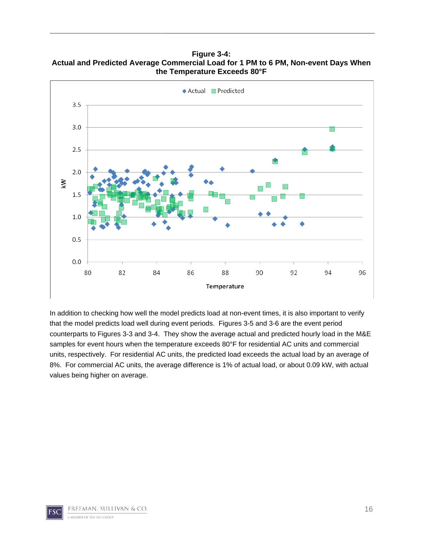◆ Actual ■ Predicted  $3.5$  $3.0$  $2.5$ ♦  $2.0$ ₹  $1.5$  $1.0$  $0.5$  $0.0$ 80 82 84 86 88 90 92 94 96 Temperature

**Figure 3-4: Actual and Predicted Average Commercial Load for 1 PM to 6 PM, Non-event Days When the Temperature Exceeds 80°F** 

In addition to checking how well the model predicts load at non-event times, it is also important to verify that the model predicts load well during event periods. Figures 3-5 and 3-6 are the event period counterparts to Figures 3-3 and 3-4. They show the average actual and predicted hourly load in the M&E samples for event hours when the temperature exceeds 80°F for residential AC units and commercial units, respectively. For residential AC units, the predicted load exceeds the actual load by an average of 8%. For commercial AC units, the average difference is 1% of actual load, or about 0.09 kW, with actual values being higher on average.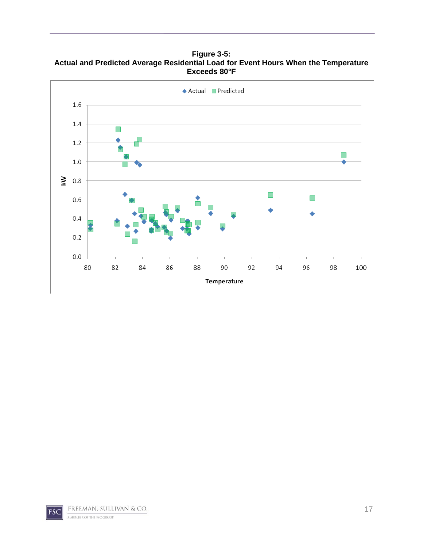**Figure 3-5: Actual and Predicted Average Residential Load for Event Hours When the Temperature Exceeds 80°F** 

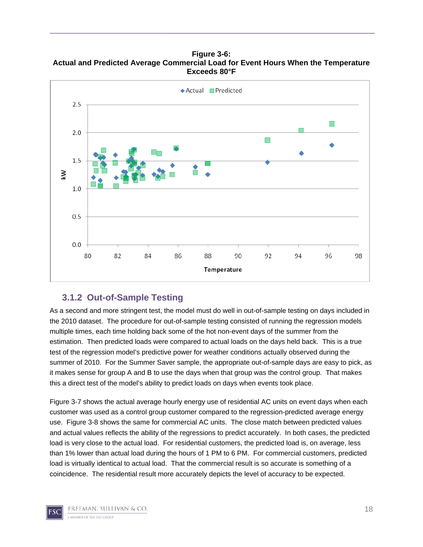**Figure 3-6: Actual and Predicted Average Commercial Load for Event Hours When the Temperature Exceeds 80°F** 



#### **3.1.2 Out-of-Sample Testing**

As a second and more stringent test, the model must do well in out-of-sample testing on days included in the 2010 dataset. The procedure for out-of-sample testing consisted of running the regression models multiple times, each time holding back some of the hot non-event days of the summer from the estimation. Then predicted loads were compared to actual loads on the days held back. This is a true test of the regression model's predictive power for weather conditions actually observed during the summer of 2010. For the Summer Saver sample, the appropriate out-of-sample days are easy to pick, as it makes sense for group A and B to use the days when that group was the control group. That makes this a direct test of the model's ability to predict loads on days when events took place.

Figure 3-7 shows the actual average hourly energy use of residential AC units on event days when each customer was used as a control group customer compared to the regression-predicted average energy use. Figure 3-8 shows the same for commercial AC units. The close match between predicted values and actual values reflects the ability of the regressions to predict accurately. In both cases, the predicted load is very close to the actual load. For residential customers, the predicted load is, on average, less than 1% lower than actual load during the hours of 1 PM to 6 PM. For commercial customers, predicted load is virtually identical to actual load. That the commercial result is so accurate is something of a coincidence. The residential result more accurately depicts the level of accuracy to be expected.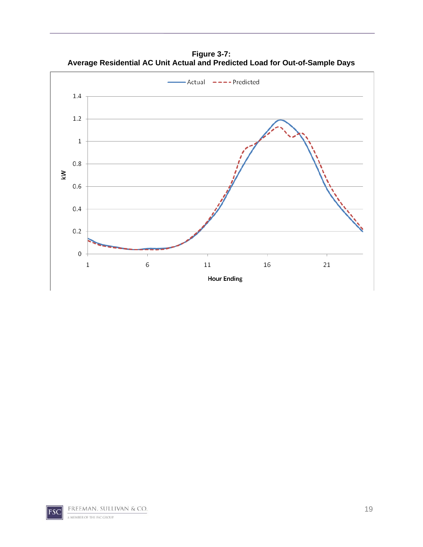**Figure 3-7: Average Residential AC Unit Actual and Predicted Load for Out-of-Sample Days** 

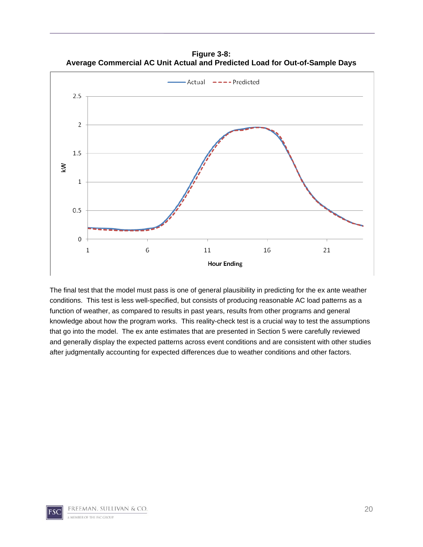**Figure 3-8: Average Commercial AC Unit Actual and Predicted Load for Out-of-Sample Days** 



The final test that the model must pass is one of general plausibility in predicting for the ex ante weather conditions. This test is less well-specified, but consists of producing reasonable AC load patterns as a function of weather, as compared to results in past years, results from other programs and general knowledge about how the program works. This reality-check test is a crucial way to test the assumptions that go into the model. The ex ante estimates that are presented in Section 5 were carefully reviewed and generally display the expected patterns across event conditions and are consistent with other studies after judgmentally accounting for expected differences due to weather conditions and other factors.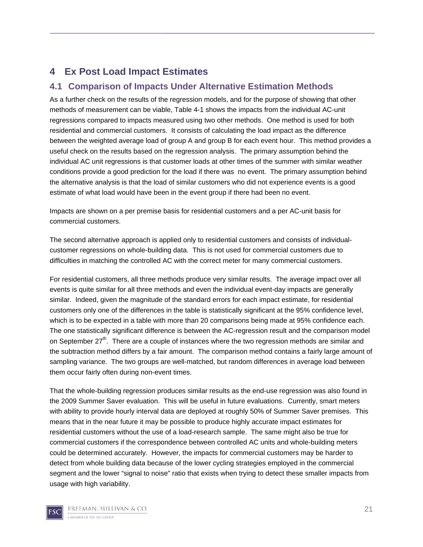## **4 Ex Post Load Impact Estimates**

#### **4.1 Comparison of Impacts Under Alternative Estimation Methods**

As a further check on the results of the regression models, and for the purpose of showing that other methods of measurement can be viable, Table 4-1 shows the impacts from the individual AC-unit regressions compared to impacts measured using two other methods. One method is used for both residential and commercial customers. It consists of calculating the load impact as the difference between the weighted average load of group A and group B for each event hour. This method provides a useful check on the results based on the regression analysis. The primary assumption behind the individual AC unit regressions is that customer loads at other times of the summer with similar weather conditions provide a good prediction for the load if there was no event. The primary assumption behind the alternative analysis is that the load of similar customers who did not experience events is a good estimate of what load would have been in the event group if there had been no event.

Impacts are shown on a per premise basis for residential customers and a per AC-unit basis for commercial customers.

The second alternative approach is applied only to residential customers and consists of individualcustomer regressions on whole-building data. This is not used for commercial customers due to difficulties in matching the controlled AC with the correct meter for many commercial customers.

For residential customers, all three methods produce very similar results. The average impact over all events is quite similar for all three methods and even the individual event-day impacts are generally similar. Indeed, given the magnitude of the standard errors for each impact estimate, for residential customers only one of the differences in the table is statistically significant at the 95% confidence level, which is to be expected in a table with more than 20 comparisons being made at 95% confidence each. The one statistically significant difference is between the AC-regression result and the comparison model on September  $27<sup>th</sup>$ . There are a couple of instances where the two regression methods are similar and the subtraction method differs by a fair amount. The comparison method contains a fairly large amount of sampling variance. The two groups are well-matched, but random differences in average load between them occur fairly often during non-event times.

That the whole-building regression produces similar results as the end-use regression was also found in the 2009 Summer Saver evaluation. This will be useful in future evaluations. Currently, smart meters with ability to provide hourly interval data are deployed at roughly 50% of Summer Saver premises. This means that in the near future it may be possible to produce highly accurate impact estimates for residential customers without the use of a load-research sample. The same might also be true for commercial customers if the correspondence between controlled AC units and whole-building meters could be determined accurately. However, the impacts for commercial customers may be harder to detect from whole building data because of the lower cycling strategies employed in the commercial segment and the lower "signal to noise" ratio that exists when trying to detect these smaller impacts from usage with high variability.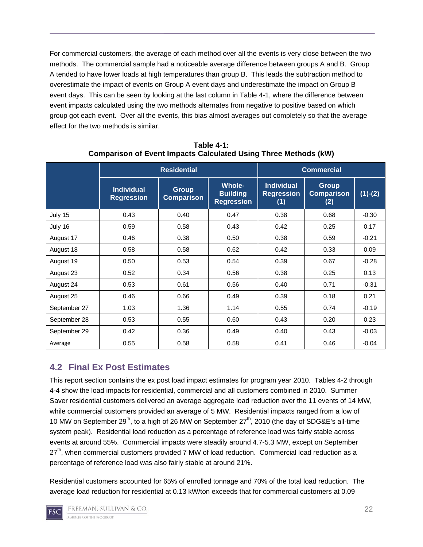For commercial customers, the average of each method over all the events is very close between the two methods. The commercial sample had a noticeable average difference between groups A and B. Group A tended to have lower loads at high temperatures than group B. This leads the subtraction method to overestimate the impact of events on Group A event days and underestimate the impact on Group B event days. This can be seen by looking at the last column in Table 4-1, where the difference between event impacts calculated using the two methods alternates from negative to positive based on which group got each event. Over all the events, this bias almost averages out completely so that the average effect for the two methods is similar.

|              | <b>Residential</b>                     |                                   |                                                       | <b>Commercial</b>                             |                                          |           |  |
|--------------|----------------------------------------|-----------------------------------|-------------------------------------------------------|-----------------------------------------------|------------------------------------------|-----------|--|
|              | <b>Individual</b><br><b>Regression</b> | <b>Group</b><br><b>Comparison</b> | <b>Whole-</b><br><b>Building</b><br><b>Regression</b> | <b>Individual</b><br><b>Regression</b><br>(1) | <b>Group</b><br><b>Comparison</b><br>(2) | $(1)-(2)$ |  |
| July 15      | 0.43                                   | 0.40                              | 0.47                                                  | 0.38                                          | 0.68                                     | $-0.30$   |  |
| July 16      | 0.59                                   | 0.58                              | 0.43                                                  | 0.42                                          | 0.25                                     | 0.17      |  |
| August 17    | 0.46                                   | 0.38                              | 0.50                                                  | 0.38                                          | 0.59                                     | $-0.21$   |  |
| August 18    | 0.58                                   | 0.58                              | 0.62                                                  | 0.42                                          | 0.33                                     | 0.09      |  |
| August 19    | 0.50                                   | 0.53                              | 0.54                                                  | 0.39                                          | 0.67                                     | $-0.28$   |  |
| August 23    | 0.52                                   | 0.34                              | 0.56                                                  | 0.38                                          | 0.25                                     | 0.13      |  |
| August 24    | 0.53                                   | 0.61                              | 0.56                                                  | 0.40                                          | 0.71                                     | $-0.31$   |  |
| August 25    | 0.46                                   | 0.66                              | 0.49                                                  | 0.39                                          | 0.18                                     | 0.21      |  |
| September 27 | 1.03                                   | 1.36                              | 1.14                                                  | 0.55                                          | 0.74                                     | $-0.19$   |  |
| September 28 | 0.53                                   | 0.55                              | 0.60                                                  | 0.43                                          | 0.20                                     | 0.23      |  |
| September 29 | 0.42                                   | 0.36                              | 0.49                                                  | 0.40                                          | 0.43                                     | $-0.03$   |  |
| Average      | 0.55                                   | 0.58                              | 0.58                                                  | 0.41                                          | 0.46                                     | $-0.04$   |  |

**Table 4-1: Comparison of Event Impacts Calculated Using Three Methods (kW)** 

## **4.2 Final Ex Post Estimates**

This report section contains the ex post load impact estimates for program year 2010. Tables 4-2 through 4-4 show the load impacts for residential, commercial and all customers combined in 2010. Summer Saver residential customers delivered an average aggregate load reduction over the 11 events of 14 MW, while commercial customers provided an average of 5 MW. Residential impacts ranged from a low of 10 MW on September 29<sup>th</sup>, to a high of 26 MW on September 27<sup>th</sup>, 2010 (the day of SDG&E's all-time system peak). Residential load reduction as a percentage of reference load was fairly stable across events at around 55%. Commercial impacts were steadily around 4.7-5.3 MW, except on September  $27<sup>th</sup>$ , when commercial customers provided 7 MW of load reduction. Commercial load reduction as a percentage of reference load was also fairly stable at around 21%.

Residential customers accounted for 65% of enrolled tonnage and 70% of the total load reduction. The average load reduction for residential at 0.13 kW/ton exceeds that for commercial customers at 0.09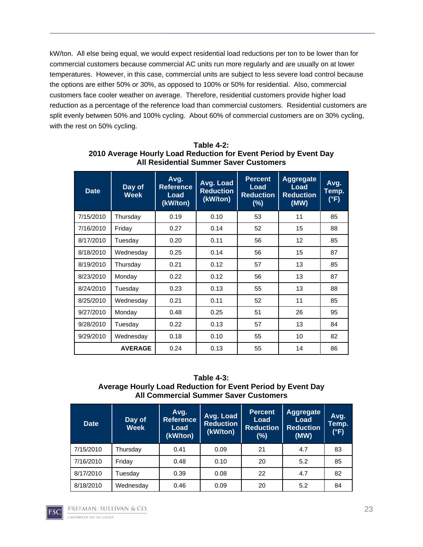kW/ton. All else being equal, we would expect residential load reductions per ton to be lower than for commercial customers because commercial AC units run more regularly and are usually on at lower temperatures. However, in this case, commercial units are subject to less severe load control because the options are either 50% or 30%, as opposed to 100% or 50% for residential. Also, commercial customers face cooler weather on average. Therefore, residential customers provide higher load reduction as a percentage of the reference load than commercial customers. Residential customers are split evenly between 50% and 100% cycling. About 60% of commercial customers are on 30% cycling, with the rest on 50% cycling.

| <b>Date</b> | Day of<br><b>Week</b> | Avg.<br><b>Reference</b><br>Load<br>(kW/ton) | <b>Avg. Load</b><br><b>Reduction</b><br>(kW/ton) | <b>Percent</b><br>Load<br><b>Reduction</b><br>$(\%)$ | <b>Aggregate</b><br>Load<br><b>Reduction</b><br>(MW) | Avg.<br>Temp.<br>(°F) |
|-------------|-----------------------|----------------------------------------------|--------------------------------------------------|------------------------------------------------------|------------------------------------------------------|-----------------------|
| 7/15/2010   | Thursday              | 0.19                                         | 0.10                                             | 53                                                   | 11                                                   | 85                    |
| 7/16/2010   | Friday                | 0.27                                         | 0.14                                             | 52                                                   | 15                                                   | 88                    |
| 8/17/2010   | Tuesday               | 0.20                                         | 0.11                                             | 56                                                   | 12                                                   | 85                    |
| 8/18/2010   | Wednesday             | 0.25                                         | 0.14<br>56                                       |                                                      | 15                                                   | 87                    |
| 8/19/2010   | Thursday              | 0.21                                         | 0.12                                             | 57                                                   | 13                                                   | 85                    |
| 8/23/2010   | Monday                | 0.22                                         | 0.12                                             | 56                                                   | 13                                                   | 87                    |
| 8/24/2010   | Tuesday               | 0.23                                         | 0.13                                             | 55                                                   | 13                                                   | 88                    |
| 8/25/2010   | Wednesday             | 0.21                                         | 0.11                                             | 52                                                   | 11                                                   | 85                    |
| 9/27/2010   | Monday                | 0.48                                         | 0.25                                             | 51                                                   | 26                                                   | 95                    |
| 9/28/2010   | Tuesday               | 0.22                                         | 0.13                                             | 57                                                   | 13                                                   | 84                    |
| 9/29/2010   | Wednesday             | 0.18                                         | 0.10                                             | 55                                                   | 10                                                   | 82                    |
|             | <b>AVERAGE</b>        | 0.24                                         | 0.13                                             | 55                                                   | 14                                                   | 86                    |

**Table 4-2: 2010 Average Hourly Load Reduction for Event Period by Event Day All Residential Summer Saver Customers** 

**Table 4-3: Average Hourly Load Reduction for Event Period by Event Day All Commercial Summer Saver Customers** 

| <b>Date</b> | Day of<br>Week | Avg.<br><b>Reference</b><br>Load<br>(kW/ton) | Avg. Load<br><b>Reduction</b><br>(kW/ton) | <b>Percent</b><br>Load<br><b>Reduction</b><br>(%) | Aggregate<br>Load<br><b>Reduction</b><br>(MW) | Avg.<br>Temp.<br>(°F) |
|-------------|----------------|----------------------------------------------|-------------------------------------------|---------------------------------------------------|-----------------------------------------------|-----------------------|
| 7/15/2010   | Thursday       | 0.41                                         | 0.09                                      | 21                                                | 4.7                                           | 83                    |
| 7/16/2010   | Friday         | 0.48                                         | 0.10                                      | 20                                                | 5.2                                           | 85                    |
| 8/17/2010   | Tuesdav        | 0.39                                         | 0.08                                      | 22                                                | 4.7                                           | 82                    |
| 8/18/2010   | Wednesday      | 0.46                                         | 0.09                                      | 20                                                | 5.2                                           | 84                    |

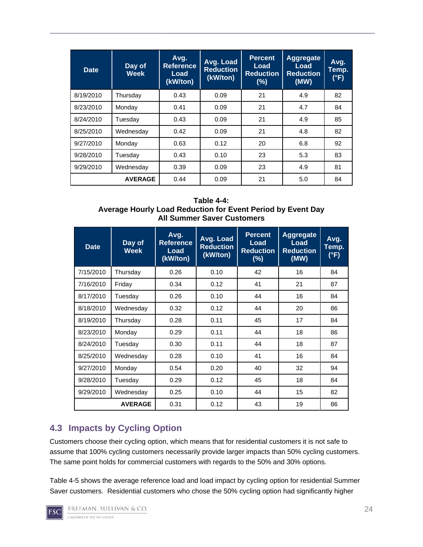| <b>Date</b> | Day of<br><b>Week</b> | Avg.<br><b>Reference</b><br>Load<br>(kW/ton) | Avg. Load<br><b>Reduction</b><br>(kW/ton) | <b>Percent</b><br>Load<br><b>Reduction</b><br>(%) | <b>Aggregate</b><br>Load<br><b>Reduction</b><br>(MW) | Avg.<br>Temp.<br>(°F) |
|-------------|-----------------------|----------------------------------------------|-------------------------------------------|---------------------------------------------------|------------------------------------------------------|-----------------------|
| 8/19/2010   | Thursday              | 0.43                                         | 0.09                                      | 21                                                | 4.9                                                  | 82                    |
| 8/23/2010   | Monday                | 0.41                                         | 0.09                                      | 21                                                | 4.7                                                  | 84                    |
| 8/24/2010   | Tuesday               | 0.43                                         | 0.09                                      | 21                                                | 4.9                                                  | 85                    |
| 8/25/2010   | Wednesday             | 0.42                                         | 0.09                                      | 21                                                | 4.8                                                  | 82                    |
| 9/27/2010   | Monday                | 0.63                                         | 0.12                                      | 20                                                | 6.8                                                  | 92                    |
| 9/28/2010   | Tuesday               | 0.43                                         | 0.10                                      | 23                                                | 5.3                                                  | 83                    |
| 9/29/2010   | Wednesday             |                                              | 0.09                                      | 23                                                | 4.9                                                  | 81                    |
|             | <b>AVERAGE</b>        | 0.44                                         | 0.09                                      | 21                                                | 5.0                                                  | 84                    |

#### **Table 4-4: Average Hourly Load Reduction for Event Period by Event Day All Summer Saver Customers**

| <b>Date</b>    | Day of<br><b>Week</b> | Avg.<br><b>Reference</b><br>Load<br>(kW/ton) | Avg. Load<br><b>Reduction</b><br>(kW/ton) | <b>Percent</b><br>Load<br><b>Reduction</b><br>(%) | <b>Aggregate</b><br>Load<br><b>Reduction</b><br>(MW) | Avg.<br>Temp.<br>(°F) |
|----------------|-----------------------|----------------------------------------------|-------------------------------------------|---------------------------------------------------|------------------------------------------------------|-----------------------|
| 7/15/2010      | Thursday              | 0.26                                         | 0.10                                      | 42                                                | 16                                                   | 84                    |
| 7/16/2010      | Friday                | 0.34                                         | 0.12                                      | 41                                                | 21                                                   | 87                    |
| 8/17/2010      | Tuesdav               | 0.26                                         | 0.10                                      | 44                                                | 16                                                   | 84                    |
| 8/18/2010      | Wednesday             | 0.32                                         | 0.12                                      | 44                                                | 20                                                   | 86                    |
| 8/19/2010      | Thursday              | 0.28                                         | 0.11                                      | 45                                                | 17                                                   | 84                    |
| 8/23/2010      | Monday                | 0.29                                         | 0.11                                      | 44                                                | 18                                                   | 86                    |
| 8/24/2010      | Tuesday               | 0.30                                         | 0.11                                      | 44                                                | 18                                                   | 87                    |
| 8/25/2010      | Wednesday             | 0.28                                         | 0.10                                      | 41                                                | 16                                                   | 84                    |
| 9/27/2010      | Monday                | 0.54                                         | 0.20                                      | 40                                                | 32                                                   | 94                    |
| 9/28/2010      | Tuesday               | 0.29                                         | 0.12                                      | 45                                                | 18                                                   | 84                    |
| 9/29/2010      | Wednesday             | 0.25                                         | 0.10                                      | 44                                                | 15                                                   | 82                    |
| <b>AVERAGE</b> |                       | 0.31                                         | 0.12                                      | 43                                                | 19                                                   | 86                    |

## **4.3 Impacts by Cycling Option**

Customers choose their cycling option, which means that for residential customers it is not safe to assume that 100% cycling customers necessarily provide larger impacts than 50% cycling customers. The same point holds for commercial customers with regards to the 50% and 30% options.

Table 4-5 shows the average reference load and load impact by cycling option for residential Summer Saver customers. Residential customers who chose the 50% cycling option had significantly higher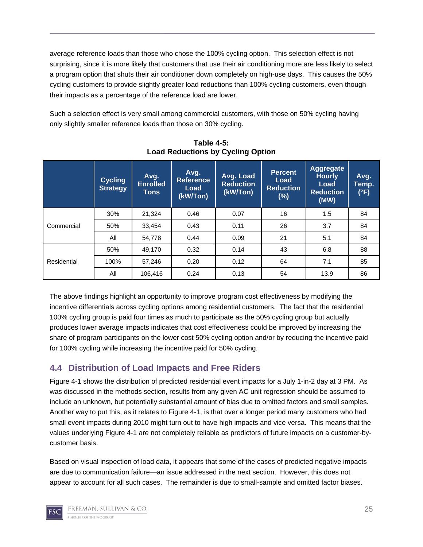average reference loads than those who chose the 100% cycling option. This selection effect is not surprising, since it is more likely that customers that use their air conditioning more are less likely to select a program option that shuts their air conditioner down completely on high-use days. This causes the 50% cycling customers to provide slightly greater load reductions than 100% cycling customers, even though their impacts as a percentage of the reference load are lower.

Such a selection effect is very small among commercial customers, with those on 50% cycling having only slightly smaller reference loads than those on 30% cycling.

|             | <b>Cycling</b><br><b>Strategy</b> | Avg.<br><b>Enrolled</b><br>Tons | Avg.<br><b>Reference</b><br>Load<br>(kW/Ton) | Avg. Load<br><b>Reduction</b><br>(kW/Ton) | <b>Percent</b><br>Load<br><b>Reduction</b><br>$(\%)$ | <b>Aggregate</b><br><b>Hourly</b><br>Load<br><b>Reduction</b><br>(MW) | Avg.<br>Temp.<br>(°F) |
|-------------|-----------------------------------|---------------------------------|----------------------------------------------|-------------------------------------------|------------------------------------------------------|-----------------------------------------------------------------------|-----------------------|
| Commercial  | 30%                               | 21,324                          | 0.46                                         | 0.07                                      | 16                                                   | 1.5                                                                   | 84                    |
|             | 50%                               | 33,454                          | 0.43                                         | 0.11                                      | 26                                                   | 3.7                                                                   | 84                    |
|             | All                               | 54,778                          | 0.44                                         | 0.09                                      | 21                                                   | 5.1                                                                   | 84                    |
| Residential | 50%                               | 49,170                          | 0.32                                         | 0.14                                      | 43                                                   | 6.8                                                                   | 88                    |
|             | 100%                              | 57,246                          | 0.20                                         | 0.12                                      | 64                                                   | 7.1                                                                   | 85                    |
|             | All                               | 106,416                         | 0.24                                         | 0.13                                      | 54                                                   | 13.9                                                                  | 86                    |

**Table 4-5: Load Reductions by Cycling Option** 

The above findings highlight an opportunity to improve program cost effectiveness by modifying the incentive differentials across cycling options among residential customers. The fact that the residential 100% cycling group is paid four times as much to participate as the 50% cycling group but actually produces lower average impacts indicates that cost effectiveness could be improved by increasing the share of program participants on the lower cost 50% cycling option and/or by reducing the incentive paid for 100% cycling while increasing the incentive paid for 50% cycling.

### **4.4 Distribution of Load Impacts and Free Riders**

Figure 4-1 shows the distribution of predicted residential event impacts for a July 1-in-2 day at 3 PM. As was discussed in the methods section, results from any given AC unit regression should be assumed to include an unknown, but potentially substantial amount of bias due to omitted factors and small samples. Another way to put this, as it relates to Figure 4-1, is that over a longer period many customers who had small event impacts during 2010 might turn out to have high impacts and vice versa. This means that the values underlying Figure 4-1 are not completely reliable as predictors of future impacts on a customer-bycustomer basis.

Based on visual inspection of load data, it appears that some of the cases of predicted negative impacts are due to communication failure—an issue addressed in the next section. However, this does not appear to account for all such cases. The remainder is due to small-sample and omitted factor biases.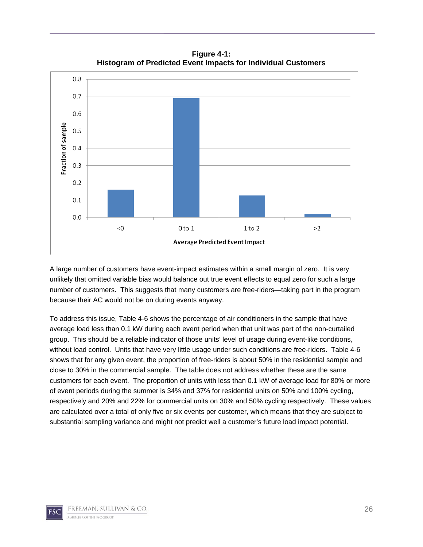

**Figure 4-1: Histogram of Predicted Event Impacts for Individual Customers** 

A large number of customers have event-impact estimates within a small margin of zero. It is very unlikely that omitted variable bias would balance out true event effects to equal zero for such a large number of customers. This suggests that many customers are free-riders—taking part in the program because their AC would not be on during events anyway.

To address this issue, Table 4-6 shows the percentage of air conditioners in the sample that have average load less than 0.1 kW during each event period when that unit was part of the non-curtailed group. This should be a reliable indicator of those units' level of usage during event-like conditions, without load control. Units that have very little usage under such conditions are free-riders. Table 4-6 shows that for any given event, the proportion of free-riders is about 50% in the residential sample and close to 30% in the commercial sample. The table does not address whether these are the same customers for each event. The proportion of units with less than 0.1 kW of average load for 80% or more of event periods during the summer is 34% and 37% for residential units on 50% and 100% cycling, respectively and 20% and 22% for commercial units on 30% and 50% cycling respectively. These values are calculated over a total of only five or six events per customer, which means that they are subject to substantial sampling variance and might not predict well a customer's future load impact potential.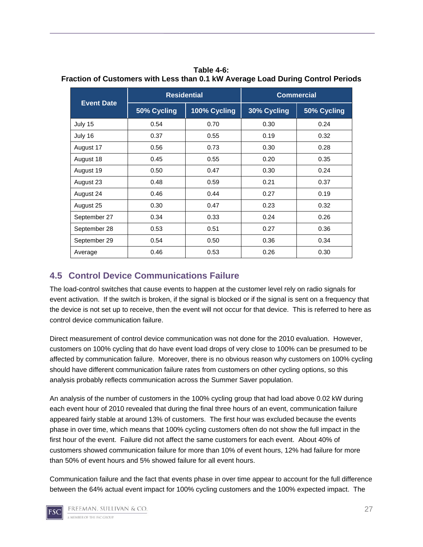|                   | <b>Residential</b>          |      | <b>Commercial</b> |             |  |
|-------------------|-----------------------------|------|-------------------|-------------|--|
| <b>Event Date</b> | 50% Cycling<br>100% Cycling |      | 30% Cycling       | 50% Cycling |  |
| July 15           | 0.54                        | 0.70 | 0.30              | 0.24        |  |
| July 16           | 0.37                        | 0.55 | 0.19              | 0.32        |  |
| August 17         | 0.56                        | 0.73 | 0.30              | 0.28        |  |
| August 18         | 0.45<br>0.55                |      | 0.20              | 0.35        |  |
| August 19         | 0.50<br>0.47                |      | 0.30              | 0.24        |  |
| August 23         | 0.48                        | 0.59 | 0.21              | 0.37        |  |
| August 24         | 0.46                        | 0.44 | 0.27              | 0.19        |  |
| August 25         | 0.30                        | 0.47 | 0.23              | 0.32        |  |
| September 27      | 0.34                        | 0.33 | 0.24              | 0.26        |  |
| September 28      | 0.53                        | 0.51 | 0.27              | 0.36        |  |
| September 29      | 0.54                        | 0.50 | 0.36              | 0.34        |  |
| Average           | 0.46                        | 0.53 | 0.26              | 0.30        |  |

**Table 4-6: Fraction of Customers with Less than 0.1 kW Average Load During Control Periods** 

### **4.5 Control Device Communications Failure**

The load-control switches that cause events to happen at the customer level rely on radio signals for event activation. If the switch is broken, if the signal is blocked or if the signal is sent on a frequency that the device is not set up to receive, then the event will not occur for that device. This is referred to here as control device communication failure.

Direct measurement of control device communication was not done for the 2010 evaluation. However, customers on 100% cycling that do have event load drops of very close to 100% can be presumed to be affected by communication failure. Moreover, there is no obvious reason why customers on 100% cycling should have different communication failure rates from customers on other cycling options, so this analysis probably reflects communication across the Summer Saver population.

An analysis of the number of customers in the 100% cycling group that had load above 0.02 kW during each event hour of 2010 revealed that during the final three hours of an event, communication failure appeared fairly stable at around 13% of customers. The first hour was excluded because the events phase in over time, which means that 100% cycling customers often do not show the full impact in the first hour of the event. Failure did not affect the same customers for each event. About 40% of customers showed communication failure for more than 10% of event hours, 12% had failure for more than 50% of event hours and 5% showed failure for all event hours.

Communication failure and the fact that events phase in over time appear to account for the full difference between the 64% actual event impact for 100% cycling customers and the 100% expected impact. The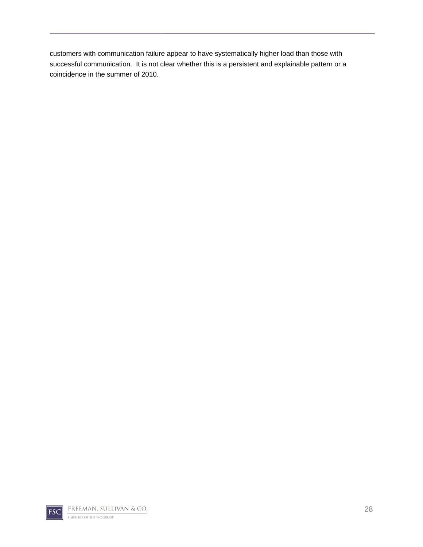customers with communication failure appear to have systematically higher load than those with successful communication. It is not clear whether this is a persistent and explainable pattern or a coincidence in the summer of 2010.

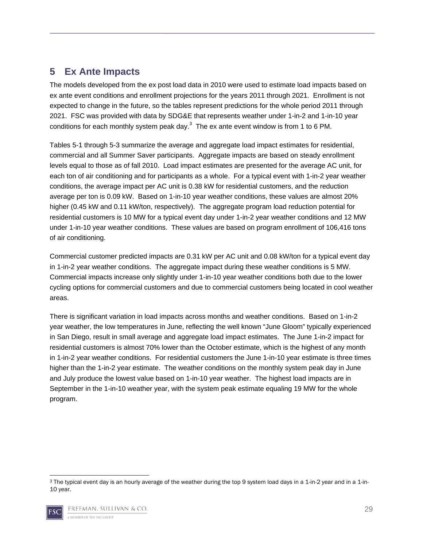# **5 Ex Ante Impacts**

The models developed from the ex post load data in 2010 were used to estimate load impacts based on ex ante event conditions and enrollment projections for the years 2011 through 2021. Enrollment is not expected to change in the future, so the tables represent predictions for the whole period 2011 through 2021. FSC was provided with data by SDG&E that represents weather under 1-in-2 and 1-in-10 year conditions for each monthly system peak day. $3$  The ex ante event window is from 1 to 6 PM.

Tables 5-1 through 5-3 summarize the average and aggregate load impact estimates for residential, commercial and all Summer Saver participants. Aggregate impacts are based on steady enrollment levels equal to those as of fall 2010. Load impact estimates are presented for the average AC unit, for each ton of air conditioning and for participants as a whole. For a typical event with 1-in-2 year weather conditions, the average impact per AC unit is 0.38 kW for residential customers, and the reduction average per ton is 0.09 kW. Based on 1-in-10 year weather conditions, these values are almost 20% higher (0.45 kW and 0.11 kW/ton, respectively). The aggregate program load reduction potential for residential customers is 10 MW for a typical event day under 1-in-2 year weather conditions and 12 MW under 1-in-10 year weather conditions. These values are based on program enrollment of 106,416 tons of air conditioning.

Commercial customer predicted impacts are 0.31 kW per AC unit and 0.08 kW/ton for a typical event day in 1-in-2 year weather conditions. The aggregate impact during these weather conditions is 5 MW. Commercial impacts increase only slightly under 1-in-10 year weather conditions both due to the lower cycling options for commercial customers and due to commercial customers being located in cool weather areas.

There is significant variation in load impacts across months and weather conditions. Based on 1-in-2 year weather, the low temperatures in June, reflecting the well known "June Gloom" typically experienced in San Diego, result in small average and aggregate load impact estimates. The June 1-in-2 impact for residential customers is almost 70% lower than the October estimate, which is the highest of any month in 1-in-2 year weather conditions. For residential customers the June 1-in-10 year estimate is three times higher than the 1-in-2 year estimate. The weather conditions on the monthly system peak day in June and July produce the lowest value based on 1-in-10 year weather. The highest load impacts are in September in the 1-in-10 weather year, with the system peak estimate equaling 19 MW for the whole program.

 3 The typical event day is an hourly average of the weather during the top 9 system load days in a 1-in-2 year and in a 1-in-10 year.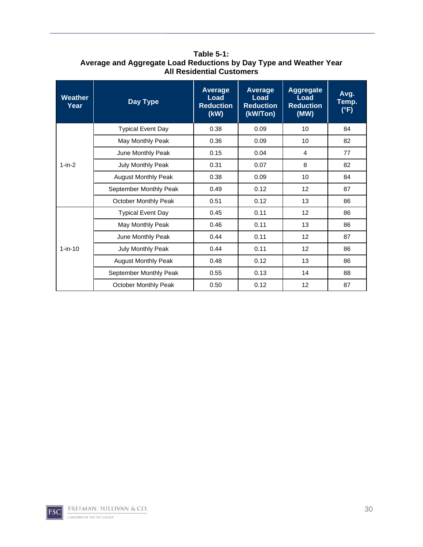| Weather<br>Year | <b>Day Type</b>            | <b>Average</b><br>Load<br><b>Reduction</b><br>(kW) | Average<br>Load<br><b>Reduction</b><br>(kW/Ton) | <b>Aggregate</b><br><b>Load</b><br><b>Reduction</b><br>(MW) | Avg.<br>Temp.<br>$(^{\circ}F)$ |
|-----------------|----------------------------|----------------------------------------------------|-------------------------------------------------|-------------------------------------------------------------|--------------------------------|
|                 | <b>Typical Event Day</b>   | 0.38                                               | 0.09                                            | 10                                                          | 84                             |
|                 | May Monthly Peak           | 0.36                                               | 0.09                                            | 10                                                          | 82                             |
|                 | June Monthly Peak          | 0.15                                               | 0.04                                            | 4                                                           | 77                             |
| $1-in-2$        | July Monthly Peak          | 0.31                                               | 0.07                                            | 8                                                           | 82                             |
|                 | <b>August Monthly Peak</b> | 0.38                                               | 0.09                                            | 10                                                          | 84                             |
|                 | September Monthly Peak     | 0.49                                               | 0.12                                            | 12                                                          | 87                             |
|                 | October Monthly Peak       | 0.51                                               | 0.12                                            | 13                                                          | 86                             |
|                 | <b>Typical Event Day</b>   | 0.45                                               | 0.11                                            | 12                                                          | 86                             |
|                 | May Monthly Peak           | 0.46                                               | 0.11                                            | 13                                                          | 86                             |
|                 | June Monthly Peak          | 0.44                                               | 0.11                                            | 12                                                          | 87                             |
| $1-in-10$       | July Monthly Peak          | 0.44                                               | 0.11                                            | 12                                                          | 86                             |
|                 | <b>August Monthly Peak</b> | 0.48                                               | 0.12                                            | 13                                                          | 86                             |
|                 | September Monthly Peak     | 0.55                                               | 0.13                                            | 14                                                          | 88                             |
|                 | October Monthly Peak       | 0.50                                               | 0.12                                            | 12                                                          | 87                             |

**Table 5-1: Average and Aggregate Load Reductions by Day Type and Weather Year All Residential Customers**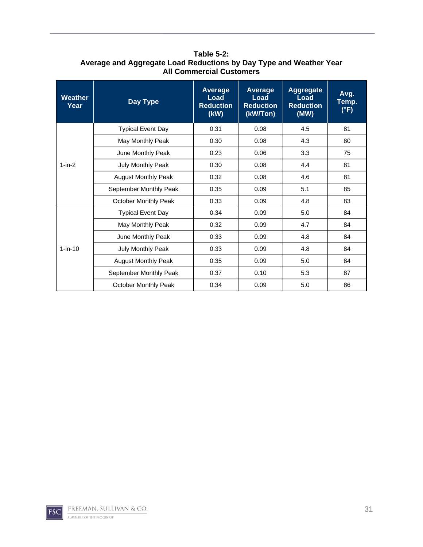| Weather<br>Year | <b>Day Type</b>             | <b>Average</b><br>Load<br><b>Reduction</b><br>(kW) | Average<br>Load<br><b>Reduction</b><br>(kW/Ton) | <b>Aggregate</b><br>Load<br><b>Reduction</b><br>(MW) | Avg.<br>Temp.<br>$(^{\circ}F)$ |
|-----------------|-----------------------------|----------------------------------------------------|-------------------------------------------------|------------------------------------------------------|--------------------------------|
|                 | <b>Typical Event Day</b>    | 0.31                                               | 0.08                                            | 4.5                                                  | 81                             |
|                 | May Monthly Peak            | 0.30                                               | 0.08                                            | 4.3                                                  | 80                             |
|                 | June Monthly Peak           | 0.23                                               | 0.06                                            | 3.3                                                  | 75                             |
| $1-in-2$        | July Monthly Peak           | 0.30                                               | 0.08                                            | 4.4                                                  | 81                             |
|                 | <b>August Monthly Peak</b>  | 0.32                                               | 0.08                                            | 4.6                                                  | 81                             |
|                 | September Monthly Peak      | 0.35                                               | 0.09                                            | 5.1                                                  | 85                             |
|                 | October Monthly Peak        | 0.33                                               | 0.09                                            | 4.8                                                  | 83                             |
|                 | <b>Typical Event Day</b>    | 0.34                                               | 0.09                                            | 5.0                                                  | 84                             |
|                 | May Monthly Peak            | 0.32                                               | 0.09                                            | 4.7                                                  | 84                             |
|                 | June Monthly Peak           | 0.33                                               | 0.09                                            | 4.8                                                  | 84                             |
| $1-in-10$       | July Monthly Peak           | 0.33                                               | 0.09                                            | 4.8                                                  | 84                             |
|                 | <b>August Monthly Peak</b>  | 0.35                                               | 0.09                                            | 5.0                                                  | 84                             |
|                 | September Monthly Peak      | 0.37                                               | 0.10                                            | 5.3                                                  | 87                             |
|                 | <b>October Monthly Peak</b> | 0.34                                               | 0.09                                            | 5.0                                                  | 86                             |

**Table 5-2: Average and Aggregate Load Reductions by Day Type and Weather Year All Commercial Customers**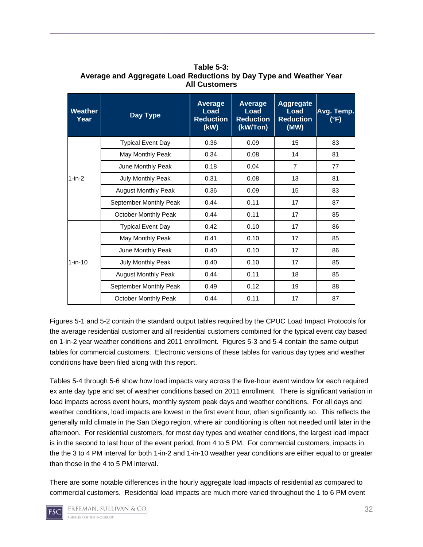| <b>Weather</b><br>Year | Day Type                    | Average<br>Load<br><b>Reduction</b><br>(kW) | <b>Average</b><br>Load<br><b>Reduction</b><br>(kW/Ton) | <b>Aggregate</b><br>Load<br><b>Reduction</b><br>(MW) | Avg. Temp.<br>(°F) |
|------------------------|-----------------------------|---------------------------------------------|--------------------------------------------------------|------------------------------------------------------|--------------------|
|                        | <b>Typical Event Day</b>    | 0.36                                        | 0.09                                                   | 15                                                   | 83                 |
|                        | May Monthly Peak            | 0.34                                        | 0.08                                                   | 14                                                   | 81                 |
|                        | June Monthly Peak           | 0.18                                        | 0.04                                                   | $\overline{7}$                                       | 77                 |
| $1-in-2$               | July Monthly Peak           | 0.31                                        | 0.08                                                   | 13                                                   | 81                 |
|                        | <b>August Monthly Peak</b>  | 0.36                                        | 0.09                                                   | 15                                                   | 83                 |
|                        | September Monthly Peak      | 0.44                                        | 0.11                                                   | 17                                                   | 87                 |
|                        | <b>October Monthly Peak</b> | 0.44                                        | 0.11                                                   | 17                                                   | 85                 |
|                        | <b>Typical Event Day</b>    | 0.42                                        | 0.10                                                   | 17                                                   | 86                 |
|                        | May Monthly Peak            | 0.41                                        | 0.10                                                   | 17                                                   | 85                 |
|                        | June Monthly Peak           | 0.40                                        | 0.10                                                   | 17                                                   | 86                 |
| $1-in-10$              | July Monthly Peak           | 0.40                                        | 0.10                                                   | 17                                                   | 85                 |
|                        | <b>August Monthly Peak</b>  | 0.44                                        | 0.11                                                   | 18                                                   | 85                 |
|                        | September Monthly Peak      | 0.49                                        | 0.12                                                   | 19                                                   | 88                 |
|                        | <b>October Monthly Peak</b> | 0.44                                        | 0.11                                                   | 17                                                   | 87                 |

**Table 5-3: Average and Aggregate Load Reductions by Day Type and Weather Year All Customers** 

Figures 5-1 and 5-2 contain the standard output tables required by the CPUC Load Impact Protocols for the average residential customer and all residential customers combined for the typical event day based on 1-in-2 year weather conditions and 2011 enrollment. Figures 5-3 and 5-4 contain the same output tables for commercial customers. Electronic versions of these tables for various day types and weather conditions have been filed along with this report.

Tables 5-4 through 5-6 show how load impacts vary across the five-hour event window for each required ex ante day type and set of weather conditions based on 2011 enrollment. There is significant variation in load impacts across event hours, monthly system peak days and weather conditions. For all days and weather conditions, load impacts are lowest in the first event hour, often significantly so. This reflects the generally mild climate in the San Diego region, where air conditioning is often not needed until later in the afternoon. For residential customers, for most day types and weather conditions, the largest load impact is in the second to last hour of the event period, from 4 to 5 PM. For commercial customers, impacts in the the 3 to 4 PM interval for both 1-in-2 and 1-in-10 weather year conditions are either equal to or greater than those in the 4 to 5 PM interval.

There are some notable differences in the hourly aggregate load impacts of residential as compared to commercial customers. Residential load impacts are much more varied throughout the 1 to 6 PM event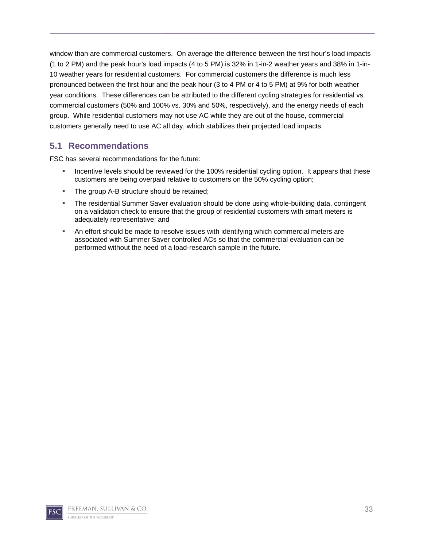window than are commercial customers. On average the difference between the first hour's load impacts (1 to 2 PM) and the peak hour's load impacts (4 to 5 PM) is 32% in 1-in-2 weather years and 38% in 1-in-10 weather years for residential customers. For commercial customers the difference is much less pronounced between the first hour and the peak hour (3 to 4 PM or 4 to 5 PM) at 9% for both weather year conditions. These differences can be attributed to the different cycling strategies for residential vs. commercial customers (50% and 100% vs. 30% and 50%, respectively), and the energy needs of each group. While residential customers may not use AC while they are out of the house, commercial customers generally need to use AC all day, which stabilizes their projected load impacts.

### **5.1 Recommendations**

FSC has several recommendations for the future:

- Incentive levels should be reviewed for the 100% residential cycling option. It appears that these customers are being overpaid relative to customers on the 50% cycling option;
- **The group A-B structure should be retained;**
- The residential Summer Saver evaluation should be done using whole-building data, contingent on a validation check to ensure that the group of residential customers with smart meters is adequately representative; and
- An effort should be made to resolve issues with identifying which commercial meters are associated with Summer Saver controlled ACs so that the commercial evaluation can be performed without the need of a load-research sample in the future.

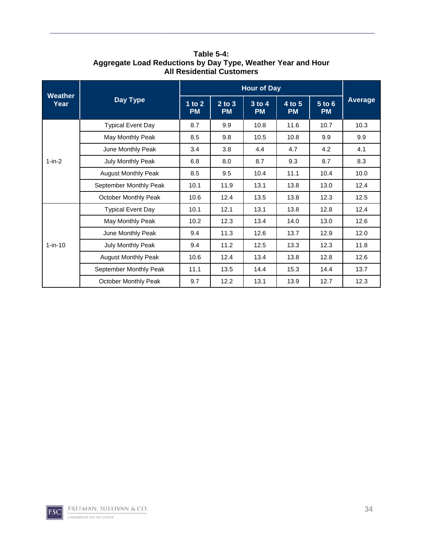| <b>Weather</b><br>Year |                            |                       | <b>Hour of Day</b>      |                         |                     |                     |         |  |
|------------------------|----------------------------|-----------------------|-------------------------|-------------------------|---------------------|---------------------|---------|--|
|                        | <b>Day Type</b>            | 1 to $2$<br><b>PM</b> | $2$ to $3$<br><b>PM</b> | $3$ to $4$<br><b>PM</b> | 4 to 5<br><b>PM</b> | 5 to 6<br><b>PM</b> | Average |  |
|                        | <b>Typical Event Day</b>   | 8.7                   | 9.9                     | 10.8                    | 11.6                | 10.7                | 10.3    |  |
|                        | May Monthly Peak           | 8.5                   | 9.8                     | 10.5                    | 10.8                | 9.9                 | 9.9     |  |
|                        | June Monthly Peak          | 3.4                   | 3.8                     | 4.4                     | 4.7                 | 4.2                 | 4.1     |  |
| $1-in-2$               | July Monthly Peak          | 6.8                   | 8.0                     | 8.7                     | 9.3                 | 8.7                 | 8.3     |  |
|                        | <b>August Monthly Peak</b> | 8.5                   | 9.5                     | 10.4                    | 11.1                | 10.4                | 10.0    |  |
|                        | September Monthly Peak     | 10.1                  | 11.9                    | 13.1                    | 13.8                | 13.0                | 12.4    |  |
|                        | October Monthly Peak       | 10.6                  | 12.4                    | 13.5                    | 13.8                | 12.3                | 12.5    |  |
|                        | <b>Typical Event Day</b>   | 10.1                  | 12.1                    | 13.1                    | 13.8                | 12.8                | 12.4    |  |
|                        | May Monthly Peak           | 10.2                  | 12.3                    | 13.4                    | 14.0                | 13.0                | 12.6    |  |
|                        | June Monthly Peak          | 9.4                   | 11.3                    | 12.6                    | 13.7                | 12.9                | 12.0    |  |
| $1-in-10$              | <b>July Monthly Peak</b>   | 9.4                   | 11.2                    | 12.5                    | 13.3                | 12.3                | 11.8    |  |
|                        | <b>August Monthly Peak</b> | 10.6                  | 12.4                    | 13.4                    | 13.8                | 12.8                | 12.6    |  |
|                        | September Monthly Peak     | 11.1                  | 13.5                    | 14.4                    | 15.3                | 14.4                | 13.7    |  |
|                        | October Monthly Peak       | 9.7                   | 12.2                    | 13.1                    | 13.9                | 12.7                | 12.3    |  |

**Table 5-4: Aggregate Load Reductions by Day Type, Weather Year and Hour All Residential Customers**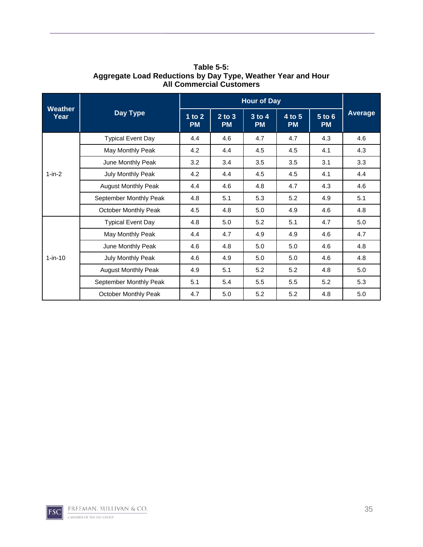|                        |                            |                       | <b>Hour of Day</b>      |                         |                     |                     |         |  |
|------------------------|----------------------------|-----------------------|-------------------------|-------------------------|---------------------|---------------------|---------|--|
| <b>Weather</b><br>Year | Day Type                   | 1 to $2$<br><b>PM</b> | $2$ to $3$<br><b>PM</b> | $3$ to $4$<br><b>PM</b> | 4 to 5<br><b>PM</b> | 5 to 6<br><b>PM</b> | Average |  |
|                        | <b>Typical Event Day</b>   | 4.4                   | 4.6                     | 4.7                     | 4.7                 | 4.3                 | 4.6     |  |
|                        | May Monthly Peak           | 4.2                   | 4.4                     | 4.5                     | 4.5                 | 4.1                 | 4.3     |  |
|                        | June Monthly Peak          | 3.2                   | 3.4                     | 3.5                     | 3.5                 | 3.1                 | 3.3     |  |
| $1-in-2$               | July Monthly Peak          | 4.2                   | 4.4                     | 4.5                     | 4.5                 | 4.1                 | 4.4     |  |
|                        | <b>August Monthly Peak</b> | 4.4                   | 4.6                     | 4.8                     | 4.7                 | 4.3                 | 4.6     |  |
|                        | September Monthly Peak     | 4.8                   | 5.1                     | 5.3                     | 5.2                 | 4.9                 | 5.1     |  |
|                        | October Monthly Peak       | 4.5                   | 4.8                     | 5.0                     | 4.9                 | 4.6                 | 4.8     |  |
|                        | <b>Typical Event Day</b>   | 4.8                   | 5.0                     | 5.2                     | 5.1                 | 4.7                 | 5.0     |  |
|                        | May Monthly Peak           | 4.4                   | 4.7                     | 4.9                     | 4.9                 | 4.6                 | 4.7     |  |
|                        | June Monthly Peak          | 4.6                   | 4.8                     | 5.0                     | 5.0                 | 4.6                 | 4.8     |  |
| $1-in-10$              | July Monthly Peak          | 4.6                   | 4.9                     | 5.0                     | 5.0                 | 4.6                 | 4.8     |  |
|                        | <b>August Monthly Peak</b> | 4.9                   | 5.1                     | 5.2                     | 5.2                 | 4.8                 | 5.0     |  |
|                        | September Monthly Peak     | 5.1                   | 5.4                     | 5.5                     | 5.5                 | 5.2                 | 5.3     |  |
|                        | October Monthly Peak       | 4.7                   | 5.0                     | 5.2                     | 5.2                 | 4.8                 | 5.0     |  |

**Table 5-5: Aggregate Load Reductions by Day Type, Weather Year and Hour All Commercial Customers**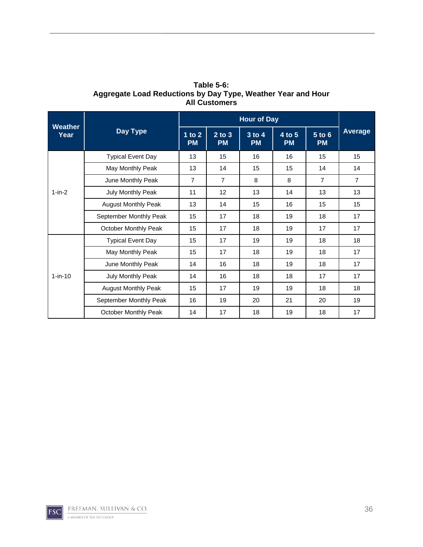|                        |                            |                       | <b>Hour of Day</b>      |                     |                     |                     |                |  |
|------------------------|----------------------------|-----------------------|-------------------------|---------------------|---------------------|---------------------|----------------|--|
| <b>Weather</b><br>Year | <b>Day Type</b>            | 1 to $2$<br><b>PM</b> | $2$ to $3$<br><b>PM</b> | 3 to 4<br><b>PM</b> | 4 to 5<br><b>PM</b> | 5 to 6<br><b>PM</b> | Average        |  |
|                        | <b>Typical Event Day</b>   | 13                    | 15                      | 16                  | 16                  | 15                  | 15             |  |
|                        | May Monthly Peak           | 13                    | 14                      | 15                  | 15                  | 14                  | 14             |  |
| $1-in-2$               | June Monthly Peak          | $\overline{7}$        | $\overline{7}$          | 8                   | 8                   | $\overline{7}$      | $\overline{7}$ |  |
|                        | July Monthly Peak          | 11                    | 12                      | 13                  | 14                  | 13                  | 13             |  |
|                        | <b>August Monthly Peak</b> | 13                    | 14                      | 15                  | 16                  | 15                  | 15             |  |
|                        | September Monthly Peak     | 15                    | 17                      | 18                  | 19                  | 18                  | 17             |  |
|                        | October Monthly Peak       | 15                    | 17                      | 18                  | 19                  | 17                  | 17             |  |
|                        | <b>Typical Event Day</b>   | 15                    | 17                      | 19                  | 19                  | 18                  | 18             |  |
|                        | May Monthly Peak           | 15                    | 17                      | 18                  | 19                  | 18                  | 17             |  |
|                        | June Monthly Peak          | 14                    | 16                      | 18                  | 19                  | 18                  | 17             |  |
| $1-in-10$              | July Monthly Peak          | 14                    | 16                      | 18                  | 18                  | 17                  | 17             |  |
|                        | <b>August Monthly Peak</b> | 15                    | 17                      | 19                  | 19                  | 18                  | 18             |  |
|                        | September Monthly Peak     | 16                    | 19                      | 20                  | 21                  | 20                  | 19             |  |

October Monthly Peak | 14 | 17 | 18 | 19 | 18 | 17

**Table 5-6: Aggregate Load Reductions by Day Type, Weather Year and Hour All Customers** 

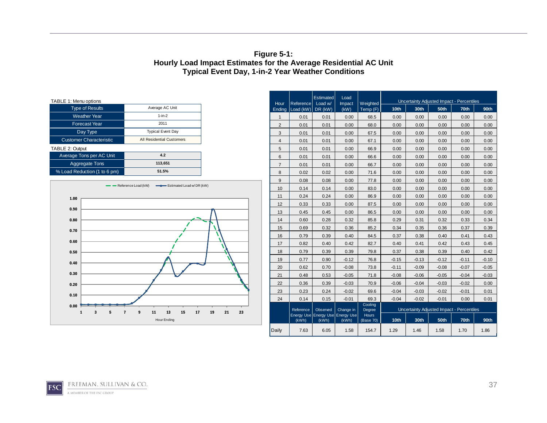#### **Figure 5-1: Hourly Load Impact Estimates for the Average Residential AC Unit Typical Event Day, 1-in-2 Year Weather Conditions**

| TABLE 1: Menu options          |                                  |
|--------------------------------|----------------------------------|
| <b>Type of Results</b>         | Average AC Unit                  |
| <b>Weather Year</b>            | $1-in-2$                         |
| <b>Forecast Year</b>           | 2011                             |
| Day Type                       | <b>Typical Event Day</b>         |
| <b>Customer Characteristic</b> | <b>All Residential Customers</b> |
| TABLE 2: Output                |                                  |
| Average Tons per AC Unit       | 4.2                              |
| <b>Aggregate Tons</b>          | 113.651                          |
| % Load Reduction (1 to 6 pm)   | 51.5%                            |



| TABLE 1: Menu options                 |                                                    |                | Hour           | Reference                             | Estimated<br>Load w/                      | Load<br>Impact | Weighted           | Uncertainty Adjusted Impact - Percentiles |         |         |         |         |
|---------------------------------------|----------------------------------------------------|----------------|----------------|---------------------------------------|-------------------------------------------|----------------|--------------------|-------------------------------------------|---------|---------|---------|---------|
| <b>Type of Results</b>                | Average AC Unit                                    |                | Endina         | $\lfloor$ Load (kW) $\rfloor$ DR (kW) |                                           | (kW)           | Temp (F)           | 10th                                      | 30th    | 50th    | 70th    | 90th    |
| <b>Weather Year</b>                   | $1-in-2$                                           |                | $\mathbf{1}$   | 0.01                                  | 0.01                                      | 0.00           | 68.5               | 0.00                                      | 0.00    | 0.00    | 0.00    | 0.00    |
| <b>Forecast Year</b>                  | 2011                                               |                | $\overline{2}$ | 0.01                                  | 0.01                                      | 0.00           | 68.0               | 0.00                                      | 0.00    | 0.00    | 0.00    | 0.00    |
| Day Type                              | <b>Typical Event Day</b>                           |                | 3              | 0.01                                  | 0.01                                      | 0.00           | 67.5               | 0.00                                      | 0.00    | 0.00    | 0.00    | 0.00    |
| <b>Customer Characteristic</b>        | All Residential Customers                          |                | $\overline{4}$ | 0.01                                  | 0.01                                      | 0.00           | 67.1               | 0.00                                      | 0.00    | 0.00    | 0.00    | 0.00    |
| TABLE 2: Output                       |                                                    |                | 5              | 0.01                                  | 0.01                                      | 0.00           | 66.9               | 0.00                                      | 0.00    | 0.00    | 0.00    | 0.00    |
| Average Tons per AC Unit              | 4.2                                                |                | 6              | 0.01                                  | 0.01                                      | 0.00           | 66.6               | 0.00                                      | 0.00    | 0.00    | 0.00    | 0.00    |
| <b>Aggregate Tons</b>                 | 113,651                                            |                | $\overline{7}$ | 0.01                                  | 0.01                                      | 0.00           | 66.7               | 0.00                                      | 0.00    | 0.00    | 0.00    | 0.00    |
| % Load Reduction (1 to 6 pm)          | 51.5%                                              |                | 8              | 0.02                                  | 0.02                                      | 0.00           | 71.6               | 0.00                                      | 0.00    | 0.00    | 0.00    | 0.00    |
|                                       |                                                    |                | 9              | 0.08                                  | 0.08                                      | 0.00           | 77.8               | 0.00                                      | 0.00    | 0.00    | 0.00    | 0.00    |
|                                       | Reference Load (kW)<br>-B Estimated Load w/DR (kW) |                | 10             | 0.14                                  | 0.14                                      | 0.00           | 83.0               | 0.00                                      | 0.00    | 0.00    | 0.00    | 0.00    |
| 1.00                                  |                                                    |                | 11             | 0.24                                  | 0.24                                      | 0.00           | 86.9               | 0.00                                      | 0.00    | 0.00    | 0.00    | 0.00    |
|                                       |                                                    |                | 12             | 0.33                                  | 0.33                                      | 0.00           | 87.5               | 0.00                                      | 0.00    | 0.00    | 0.00    | 0.00    |
| 0.90                                  |                                                    |                | 13             | 0.45                                  | 0.45                                      | 0.00           | 86.5               | 0.00                                      | 0.00    | 0.00    | 0.00    | 0.00    |
| 0.80                                  |                                                    |                | 14             | 0.60                                  | 0.28                                      | 0.32           | 85.8               | 0.29                                      | 0.31    | 0.32    | 0.33    | 0.34    |
| 0.70                                  |                                                    |                | 15             | 0.69                                  | 0.32                                      | 0.36           | 85.2               | 0.34                                      | 0.35    | 0.36    | 0.37    | 0.39    |
|                                       |                                                    |                | 16             | 0.79                                  | 0.39                                      | 0.40           | 84.5               | 0.37                                      | 0.38    | 0.40    | 0.41    | 0.43    |
| 0.60                                  |                                                    |                | 17             | 0.82                                  | 0.40                                      | 0.42           | 82.7               | 0.40                                      | 0.41    | 0.42    | 0.43    | 0.45    |
| 0.50                                  |                                                    |                | 18             | 0.79                                  | 0.39                                      | 0.39           | 79.8               | 0.37                                      | 0.38    | 0.39    | 0.40    | 0.42    |
| 0.40                                  |                                                    |                | 19             | 0.77                                  | 0.90                                      | $-0.12$        | 76.8               | $-0.15$                                   | $-0.13$ | $-0.12$ | $-0.11$ | $-0.10$ |
|                                       |                                                    |                | 20             | 0.62                                  | 0.70                                      | $-0.08$        | 73.8               | $-0.11$                                   | $-0.09$ | $-0.08$ | $-0.07$ | $-0.05$ |
| 0.30                                  |                                                    |                | 21             | 0.48                                  | 0.53                                      | $-0.05$        | 71.8               | $-0.08$                                   | $-0.06$ | $-0.05$ | $-0.04$ | $-0.03$ |
| 0.20                                  |                                                    |                | 22             | 0.36                                  | 0.39                                      | $-0.03$        | 70.9               | $-0.06$                                   | $-0.04$ | $-0.03$ | $-0.02$ | 0.00    |
| 0.10                                  |                                                    |                | 23             | 0.23                                  | 0.24                                      | $-0.02$        | 69.6               | $-0.04$                                   | $-0.03$ | $-0.02$ | $-0.01$ | 0.01    |
|                                       |                                                    |                | 24             | 0.14                                  | 0.15                                      | $-0.01$        | 69.3               | $-0.04$                                   | $-0.02$ | $-0.01$ | 0.00    | 0.01    |
| 0.00<br>$\overline{7}$<br>1<br>3<br>5 | 13<br>15<br>17<br>11<br>9                          | 19<br>21<br>23 |                | Reference                             | Observed                                  | Change in      | Cooling<br>Degree  | Uncertainty Adjusted Impact - Percentiles |         |         |         |         |
|                                       | Hour Ending                                        |                |                | (kWh)                                 | Energy Use Energy Use Energy Use<br>(kWh) | (kWh)          | Hours<br>(Base 70) | 10 <sub>th</sub>                          | 30th    | 50th    | 70th    | 90th    |
|                                       |                                                    |                | Daily          | 7.63                                  | 6.05                                      | 1.58           | 154.7              | 1.29                                      | 1.46    | 1.58    | 1.70    | 1.86    |

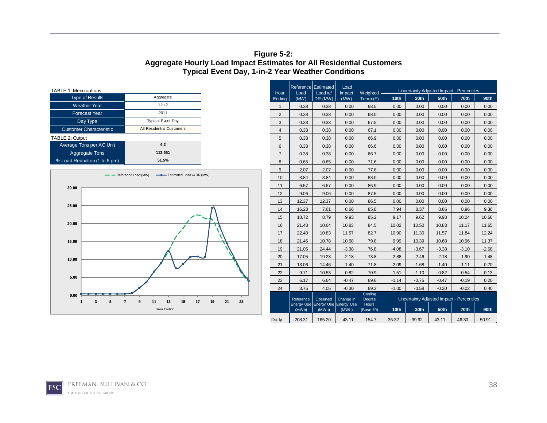#### **Figure 5-2: Aggregate Hourly Load Impact Estimates for All Residential Customers Typical Event Day, 1-in-2 Year Weather Conditions**

| TABLE 1: Menu options          |                                  |
|--------------------------------|----------------------------------|
| <b>Type of Results</b>         | Aggregate                        |
| <b>Weather Year</b>            | $1-in-2$                         |
| <b>Forecast Year</b>           | 2011                             |
| Day Type                       | <b>Typical Event Day</b>         |
| <b>Customer Characteristic</b> | <b>All Residential Customers</b> |
| <b>TABLE 2: Output</b>         |                                  |
| Average Tons per AC Unit       | 4.2                              |
| <b>Aggregate Tons</b>          | 113,651                          |
| % Load Reduction (1 to 6 pm)   | 51.5%                            |
|                                |                                  |



| TABLE 1: Menu options |                                |                                                   | <b>Reference Estimated</b> |                | Load         |                                           | Uncertainty Adjusted Impact - Percentiles |                             |                                           |                  |         |                  |         |  |
|-----------------------|--------------------------------|---------------------------------------------------|----------------------------|----------------|--------------|-------------------------------------------|-------------------------------------------|-----------------------------|-------------------------------------------|------------------|---------|------------------|---------|--|
|                       | <b>Type of Results</b>         | Aggregate                                         |                            | Hour<br>Endina | Load<br>(MW) | Load w/<br>DR (MW)                        | Impact<br>(MW)                            | <b>Weighted</b><br>Temp (F) | 10 <sub>th</sub>                          | 30 <sub>th</sub> | 50th    | 70 <sub>th</sub> | 90th    |  |
|                       | <b>Weather Year</b>            | $1-in-2$                                          |                            | $\overline{1}$ | 0.38         | 0.38                                      | 0.00                                      | 68.5                        | 0.00                                      | 0.00             | 0.00    | 0.00             | 0.00    |  |
|                       | <b>Forecast Year</b>           | 2011                                              |                            | 2              | 0.38         | 0.38                                      | 0.00                                      | 68.0                        | 0.00                                      | 0.00             | 0.00    | 0.00             | 0.00    |  |
|                       | Day Type                       | <b>Typical Event Day</b>                          |                            | 3              | 0.38         | 0.38                                      | 0.00                                      | 67.5                        | 0.00                                      | 0.00             | 0.00    | 0.00             | 0.00    |  |
|                       | <b>Customer Characteristic</b> | All Residential Customers                         |                            | 4              | 0.38         | 0.38                                      | 0.00                                      | 67.1                        | 0.00                                      | 0.00             | 0.00    | 0.00             | 0.00    |  |
| TABLE 2: Output       |                                |                                                   |                            | 5              | 0.38         | 0.38                                      | 0.00                                      | 66.9                        | 0.00                                      | 0.00             | 0.00    | 0.00             | 0.00    |  |
|                       | Average Tons per AC Unit       | 4.2                                               |                            | 6              | 0.38         | 0.38                                      | 0.00                                      | 66.6                        | 0.00                                      | 0.00             | 0.00    | 0.00             | 0.00    |  |
|                       | <b>Aggregate Tons</b>          | 113,651                                           |                            | $\overline{7}$ | 0.38         | 0.38                                      | 0.00                                      | 66.7                        | 0.00                                      | 0.00             | 0.00    | 0.00             | 0.00    |  |
|                       | % Load Reduction (1 to 6 pm)   | 51.5%                                             |                            | 8              | 0.65         | 0.65                                      | 0.00                                      | 71.6                        | 0.00                                      | 0.00             | 0.00    | 0.00             | 0.00    |  |
|                       |                                |                                                   |                            | 9              | 2.07         | 2.07                                      | 0.00                                      | 77.8                        | 0.00                                      | 0.00             | 0.00    | 0.00             | 0.00    |  |
|                       |                                | Reference Load (MW)<br>- Estimated Load w/DR (MW) |                            | 10             | 3.84         | 3.84                                      | 0.00                                      | 83.0                        | 0.00                                      | 0.00             | 0.00    | 0.00             | 0.00    |  |
| 30.00                 |                                |                                                   |                            | 11             | 6.57         | 6.57                                      | 0.00                                      | 86.9                        | 0.00                                      | 0.00             | 0.00    | 0.00             | 0.00    |  |
|                       |                                |                                                   |                            | 12             | 9.06         | 9.06                                      | 0.00                                      | 87.5                        | 0.00                                      | 0.00             | 0.00    | 0.00             | 0.00    |  |
|                       |                                |                                                   |                            | 13             | 12.37        | 12.37                                     | 0.00                                      | 86.5                        | 0.00                                      | 0.00             | 0.00    | 0.00             | 0.00    |  |
| 25.00                 |                                |                                                   |                            | 14             | 16.28        | 7.61                                      | 8.66                                      | 85.8                        | 7.94                                      | 8.37             | 8.66    | 8.96             | 9.38    |  |
|                       |                                |                                                   |                            | 15             | 18.72        | 8.79                                      | 9.93                                      | 85.2                        | 9.17                                      | 9.62             | 9.93    | 10.24            | 10.68   |  |
| 20.00                 |                                |                                                   |                            | 16             | 21.48        | 10.64                                     | 10.83                                     | 84.5                        | 10.02                                     | 10.50            | 10.83   | 11.17            | 11.65   |  |
|                       |                                |                                                   |                            | 17             | 22.40        | 10.83                                     | 11.57                                     | 82.7                        | 10.90                                     | 11.30            | 11.57   | 11.84            | 12.24   |  |
| 15.00                 |                                |                                                   |                            | 18             | 21.46        | 10.78                                     | 10.68                                     | 79.8                        | 9.99                                      | 10.39            | 10.68   | 10.96            | 11.37   |  |
|                       |                                |                                                   |                            | 19             | 21.05        | 24.44                                     | $-3.38$                                   | 76.8                        | $-4.08$                                   | $-3.67$          | $-3.38$ | $-3.10$          | $-2.68$ |  |
| 10.00                 |                                |                                                   |                            | 20             | 17.05        | 19.23                                     | $-2.18$                                   | 73.8                        | $-2.88$                                   | $-2.46$          | $-2.18$ | $-1.90$          | $-1.48$ |  |
|                       |                                |                                                   |                            | 21             | 13.06        | 14.46                                     | $-1.40$                                   | 71.8                        | $-2.09$                                   | $-1.68$          | $-1.40$ | $-1.11$          | $-0.70$ |  |
|                       |                                |                                                   |                            | 22             | 9.71         | 10.53                                     | $-0.82$                                   | 70.9                        | $-1.51$                                   | $-1.10$          | $-0.82$ | $-0.54$          | $-0.13$ |  |
| 5.00                  |                                |                                                   |                            | 23             | 6.17         | 6.64                                      | $-0.47$                                   | 69.6                        | $-1.14$                                   | $-0.75$          | $-0.47$ | $-0.19$          | 0.20    |  |
|                       |                                |                                                   |                            | 24             | 3.75         | 4.05                                      | $-0.30$                                   | 69.3                        | $-1.00$                                   | $-0.58$          | $-0.30$ | $-0.02$          | 0.40    |  |
| 0.00                  |                                |                                                   |                            |                | Reference    | Observed                                  | Change in                                 | Cooling<br>Degree           | Uncertainty Adjusted Impact - Percentiles |                  |         |                  |         |  |
| 1                     | 5<br>7<br>3                    | 13<br>15<br>11<br>17<br>9<br>Hour Ending          | 19<br>21<br>23             |                | (MWh)        | Energy Use Energy Use Energy Use<br>(MWh) | (MWh)                                     | <b>Hours</b><br>(Base 70)   | 10 <sub>th</sub>                          | 30th             | 50th    | 70th             | 90th    |  |
|                       |                                |                                                   |                            | Daily          | 208.31       | 165.20                                    | 43.11                                     | 154.7                       | 35.32                                     | 39.92            | 43.11   | 46.30            | 50.91   |  |

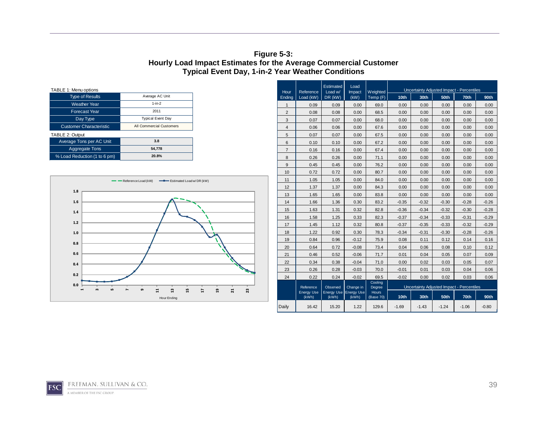#### **Figure 5-3: Hourly Load Impact Estimates for the Average Commercial Customer Typical Event Day, 1-in-2 Year Weather Conditions**

| TABLE 1: Menu options          |                          |
|--------------------------------|--------------------------|
| <b>Type of Results</b>         | Average AC Unit          |
| <b>Weather Year</b>            | $1-in-2$                 |
| <b>Forecast Year</b>           | 2011                     |
| Day Type                       | <b>Typical Event Day</b> |
| <b>Customer Characteristic</b> | All Commercial Customers |
| TABLE 2: Output                |                          |
| Average Tons per AC Unit       | 3.8                      |
| <b>Aggregate Tons</b>          | 54.778                   |
| % Load Reduction (1 to 6 pm)   | 20.8%                    |



|                                                          |                                                 |                   |                             |                            | Estimated                      | Load           |                      | Uncertainty Adjusted Impact - Percentiles |                  |                                           |         |         |  |
|----------------------------------------------------------|-------------------------------------------------|-------------------|-----------------------------|----------------------------|--------------------------------|----------------|----------------------|-------------------------------------------|------------------|-------------------------------------------|---------|---------|--|
| TABLE 1: Menu options<br><b>Type of Results</b>          | Average AC Unit                                 |                   | Hour<br>Load (kW)<br>Endina | Reference                  | Load w/<br>DR (kW)             | Impact<br>(KW) | Weighted<br>Temp (F) | 10 <sub>th</sub>                          | 30 <sub>th</sub> | 50 <sub>th</sub>                          | 70th    | 90th    |  |
| <b>Weather Year</b>                                      | $1-in-2$                                        |                   |                             | 0.09                       | 0.09                           | 0.00           | 69.0                 | 0.00                                      | 0.00             | 0.00                                      | 0.00    | 0.00    |  |
| <b>Forecast Year</b>                                     | 2011                                            |                   | $\overline{2}$              | 0.08                       | 0.08                           | 0.00           | 68.5                 | 0.00                                      | 0.00             | 0.00                                      | 0.00    | 0.00    |  |
| Day Type                                                 | <b>Typical Event Day</b>                        |                   | 3                           | 0.07                       | 0.07                           | 0.00           | 68.0                 | 0.00                                      | 0.00             | 0.00                                      | 0.00    | 0.00    |  |
| <b>Customer Characteristic</b>                           | All Commercial Customers                        |                   | $\overline{4}$              | 0.06                       | 0.06                           | 0.00           | 67.6                 | 0.00                                      | 0.00             | 0.00                                      | 0.00    | 0.00    |  |
| TABLE 2: Output                                          |                                                 |                   | 5                           | 0.07                       | 0.07                           | 0.00           | 67.5                 | 0.00                                      | 0.00             | 0.00                                      | 0.00    | 0.00    |  |
| Average Tons per AC Unit                                 | 3.8                                             |                   | 6                           | 0.10                       | 0.10                           | 0.00           | 67.2                 | 0.00                                      | 0.00             | 0.00                                      | 0.00    | 0.00    |  |
| <b>Aggregate Tons</b>                                    | 54,778                                          |                   | $\overline{7}$              | 0.16                       | 0.16                           | 0.00           | 67.4                 | 0.00                                      | 0.00             | 0.00                                      | 0.00    | 0.00    |  |
| % Load Reduction (1 to 6 pm)                             | 20.8%                                           |                   | 8                           | 0.26                       | 0.26                           | 0.00           | 71.1                 | 0.00                                      | 0.00             | 0.00                                      | 0.00    | 0.00    |  |
|                                                          |                                                 |                   | 9                           | 0.45                       | 0.45                           | 0.00           | 76.2                 | 0.00                                      | 0.00             | 0.00                                      | 0.00    | 0.00    |  |
|                                                          |                                                 |                   | 10                          | 0.72                       | 0.72                           | 0.00           | 80.7                 | 0.00                                      | 0.00             | 0.00                                      | 0.00    | 0.00    |  |
|                                                          | Reference Load (kW)<br>Estimated Load w/DR (kW) |                   | 11                          | 1.05                       | 1.05                           | 0.00           | 84.0                 | 0.00                                      | 0.00             | 0.00                                      | 0.00    | 0.00    |  |
|                                                          |                                                 |                   | 12                          | 1.37                       | 1.37                           | 0.00           | 84.3                 | 0.00                                      | 0.00             | 0.00                                      | 0.00    | 0.00    |  |
| 1.8                                                      |                                                 |                   | 13                          | 1.65                       | 1.65                           | 0.00           | 83.8                 | 0.00                                      | 0.00             | 0.00                                      | 0.00    | 0.00    |  |
| 1.6                                                      |                                                 |                   | 14                          | 1.66                       | 1.36                           | 0.30           | 83.2                 | $-0.35$                                   | $-0.32$          | $-0.30$                                   | $-0.28$ | $-0.26$ |  |
| 1.4                                                      |                                                 |                   | 15                          | 1.63                       | 1.31                           | 0.32           | 82.8                 | $-0.36$                                   | $-0.34$          | $-0.32$                                   | $-0.30$ | $-0.28$ |  |
|                                                          |                                                 |                   | 16                          | 1.58                       | 1.25                           | 0.33           | 82.3                 | $-0.37$                                   | $-0.34$          | $-0.33$                                   | $-0.31$ | $-0.29$ |  |
| 1.2                                                      |                                                 |                   | 17                          | 1.45                       | 1.12                           | 0.32           | 80.8                 | $-0.37$                                   | $-0.35$          | $-0.33$                                   | $-0.32$ | $-0.29$ |  |
| 1.0                                                      |                                                 |                   | 18                          | 1.22                       | 0.92                           | 0.30           | 78.3                 | $-0.34$                                   | $-0.31$          | $-0.30$                                   | $-0.28$ | $-0.26$ |  |
| 0.8                                                      |                                                 |                   | 19                          | 0.84                       | 0.96                           | $-0.12$        | 75.9                 | 0.08                                      | 0.11             | 0.12                                      | 0.14    | 0.16    |  |
|                                                          |                                                 |                   | 20                          | 0.64                       | 0.72                           | $-0.08$        | 73.4                 | 0.04                                      | 0.06             | 0.08                                      | 0.10    | 0.12    |  |
| 0.6                                                      |                                                 |                   | 21                          | 0.46                       | 0.52                           | $-0.06$        | 71.7                 | 0.01                                      | 0.04             | 0.05                                      | 0.07    | 0.09    |  |
| 0.4                                                      |                                                 |                   | 22                          | 0.34                       | 0.38                           | $-0.04$        | 71.0                 | 0.00                                      | 0.02             | 0.03                                      | 0.05    | 0.07    |  |
| 0.2                                                      |                                                 |                   | 23                          | 0.26                       | 0.28                           | $-0.03$        | 70.0                 | $-0.01$                                   | 0.01             | 0.03                                      | 0.04    | 0.06    |  |
|                                                          |                                                 |                   | 24                          | 0.22                       | 0.24                           | $-0.02$        | 69.5                 | $-0.02$                                   | 0.00             | 0.02                                      | 0.03    | 0.06    |  |
| 0.0<br>$\blacksquare$<br>$\mathbf{c}$<br>LO <sub>1</sub> | 15<br>$\boldsymbol{\mathfrak{a}}$<br>G)         | 23<br>5<br>ដ<br>H |                             | Reference                  | Observed                       | Change in      | Degree               | Cooling                                   |                  | Uncertainty Adjusted Impact - Percentiles |         |         |  |
|                                                          | Hour Ending                                     |                   |                             | <b>Energy Use</b><br>(kWh) | Energy Use Energy Use<br>(kWh) | (kWh)          | Hours<br>(Base 70)   | 10 <sub>th</sub>                          | 30th             | 50 <sub>th</sub>                          | 70th    | 90th    |  |
|                                                          |                                                 |                   | Daily                       | 16.42                      | 15.20                          | 1.22           | 129.6                | $-1.69$                                   | $-1.43$          | $-1.24$                                   | $-1.06$ | $-0.80$ |  |